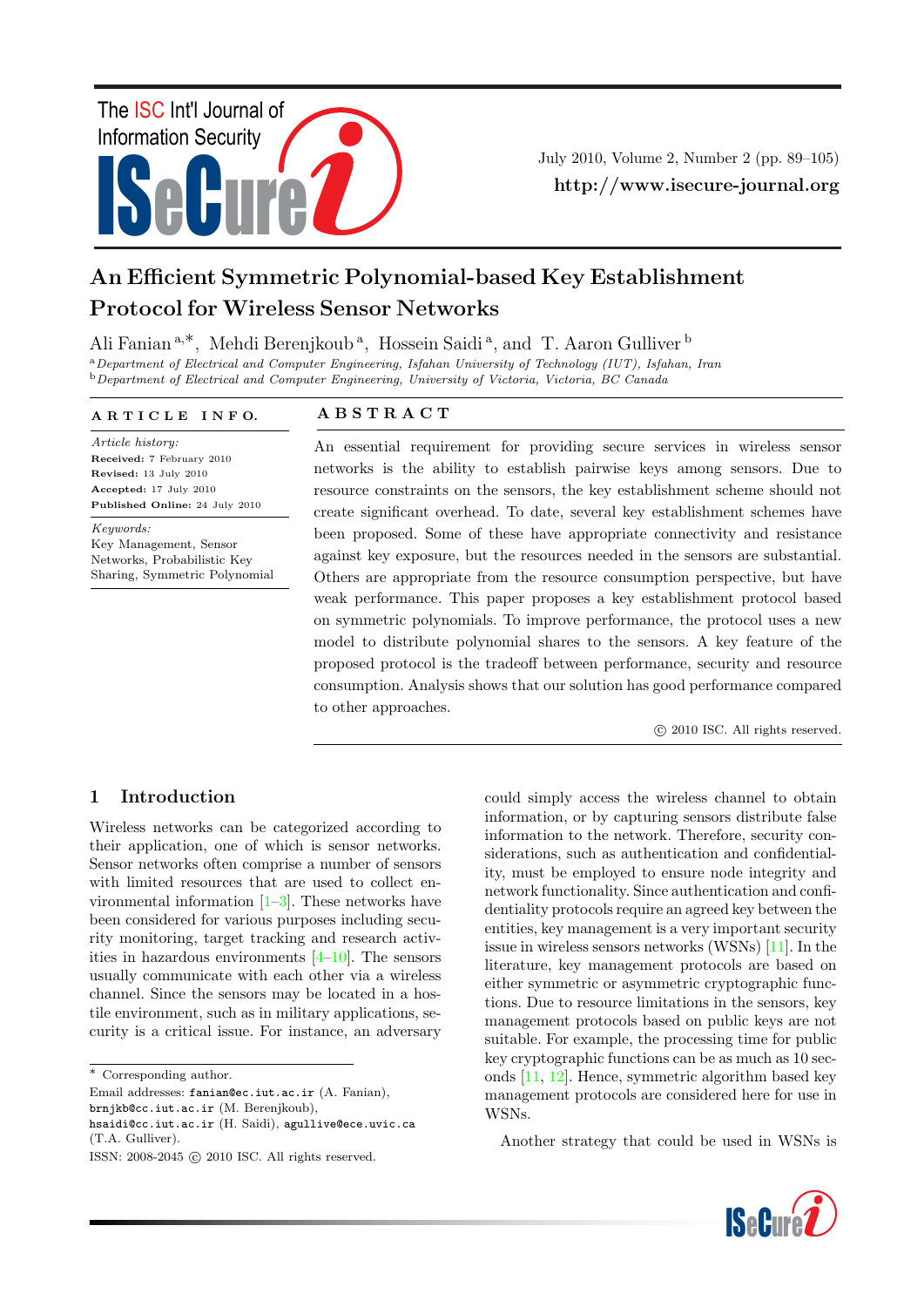# ISeCure The ISC Int'l Journal of Information Security

July 2010, Volume 2, Number 2 (pp. 89–105) http://www.isecure-journal.org

# An Efficient Symmetric Polynomial-based Key Establishment Protocol for Wireless Sensor Networks

Ali Fanian<sup>a,∗</sup>, Mehdi Berenjkoub<sup>a</sup>, Hossein Saidi<sup>a</sup>, and T. Aaron Gulliver<sup>b</sup> <sup>a</sup>Department of Electrical and Computer Engineering, Isfahan University of Technology (IUT), Isfahan, Iran  $b$  Department of Electrical and Computer Engineering, University of Victoria, Victoria, BC Canada

## A R T I C L E I N F O.

Article history: Received: 7 February 2010 Revised: 13 July 2010 Accepted: 17 July 2010 Published Online: 24 July 2010

Keywords: Key Management, Sensor Networks, Probabilistic Key Sharing, Symmetric Polynomial

# A B S T R A C T

An essential requirement for providing secure services in wireless sensor networks is the ability to establish pairwise keys among sensors. Due to resource constraints on the sensors, the key establishment scheme should not create significant overhead. To date, several key establishment schemes have been proposed. Some of these have appropriate connectivity and resistance against key exposure, but the resources needed in the sensors are substantial. Others are appropriate from the resource consumption perspective, but have weak performance. This paper proposes a key establishment protocol based on symmetric polynomials. To improve performance, the protocol uses a new model to distribute polynomial shares to the sensors. A key feature of the proposed protocol is the tradeoff between performance, security and resource consumption. Analysis shows that our solution has good performance compared to other approaches.

c 2010 ISC. All rights reserved.

# 1 Introduction

Wireless networks can be categorized according to their application, one of which is sensor networks. Sensor networks often comprise a number of sensors with limited resources that are used to collect environmental information  $[1-3]$  $[1-3]$ . These networks have been considered for various purposes including security monitoring, target tracking and research activities in hazardous environments  $[4-10]$  $[4-10]$ . The sensors usually communicate with each other via a wireless channel. Since the sensors may be located in a hostile environment, such as in military applications, security is a critical issue. For instance, an adversary

∗ Corresponding author.

Email addresses: fanian@ec.iut.ac.ir (A. Fanian),

brnjkb@cc.iut.ac.ir (M. Berenjkoub),

hsaidi@cc.iut.ac.ir (H. Saidi), agullive@ece.uvic.ca (T.A. Gulliver).

could simply access the wireless channel to obtain information, or by capturing sensors distribute false information to the network. Therefore, security considerations, such as authentication and confidentiality, must be employed to ensure node integrity and network functionality. Since authentication and confidentiality protocols require an agreed key between the entities, key management is a very important security issue in wireless sensors networks (WSNs) [\[11\]](#page-14-4). In the literature, key management protocols are based on either symmetric or asymmetric cryptographic functions. Due to resource limitations in the sensors, key management protocols based on public keys are not suitable. For example, the processing time for public key cryptographic functions can be as much as 10 seconds [\[11,](#page-14-4) [12\]](#page-14-5). Hence, symmetric algorithm based key management protocols are considered here for use in WSNs.

Another strategy that could be used in WSNs is



ISSN: 2008-2045 © 2010 ISC. All rights reserved.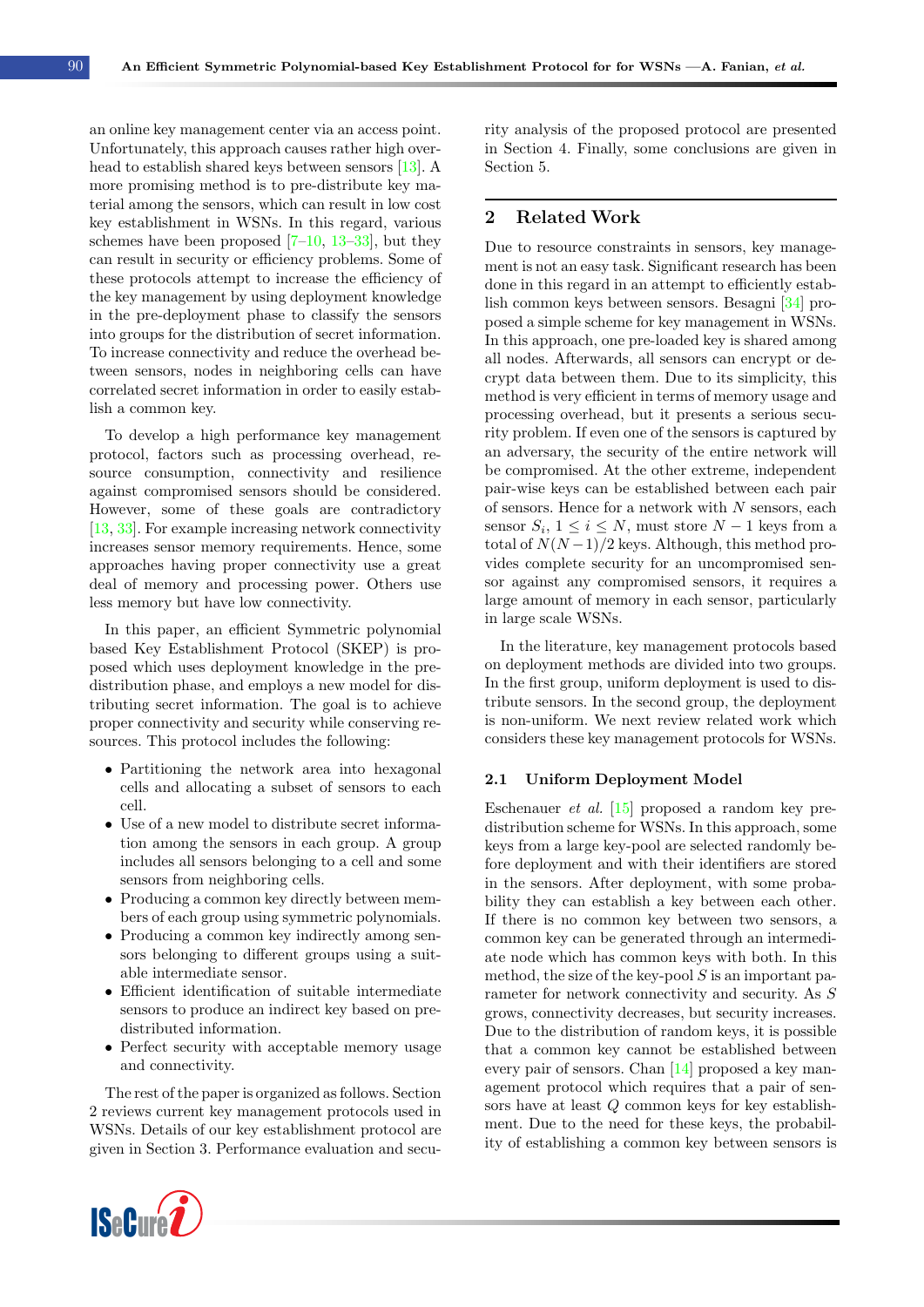an online key management center via an access point. Unfortunately, this approach causes rather high overhead to establish shared keys between sensors [\[13\]](#page-14-6). A more promising method is to pre-distribute key material among the sensors, which can result in low cost key establishment in WSNs. In this regard, various schemes have been proposed  $[7-10, 13-33]$  $[7-10, 13-33]$  $[7-10, 13-33]$  $[7-10, 13-33]$ , but they can result in security or efficiency problems. Some of these protocols attempt to increase the efficiency of the key management by using deployment knowledge in the pre-deployment phase to classify the sensors into groups for the distribution of secret information. To increase connectivity and reduce the overhead between sensors, nodes in neighboring cells can have correlated secret information in order to easily establish a common key.

To develop a high performance key management protocol, factors such as processing overhead, resource consumption, connectivity and resilience against compromised sensors should be considered. However, some of these goals are contradictory [\[13,](#page-14-6) [33\]](#page-15-0). For example increasing network connectivity increases sensor memory requirements. Hence, some approaches having proper connectivity use a great deal of memory and processing power. Others use less memory but have low connectivity.

In this paper, an efficient Symmetric polynomial based Key Establishment Protocol (SKEP) is proposed which uses deployment knowledge in the predistribution phase, and employs a new model for distributing secret information. The goal is to achieve proper connectivity and security while conserving resources. This protocol includes the following:

- Partitioning the network area into hexagonal cells and allocating a subset of sensors to each cell.
- Use of a new model to distribute secret information among the sensors in each group. A group includes all sensors belonging to a cell and some sensors from neighboring cells.
- Producing a common key directly between members of each group using symmetric polynomials.
- Producing a common key indirectly among sensors belonging to different groups using a suitable intermediate sensor.
- Efficient identification of suitable intermediate sensors to produce an indirect key based on predistributed information.
- Perfect security with acceptable memory usage and connectivity.

The rest of the paper is organized as follows. Section 2 reviews current key management protocols used in WSNs. Details of our key establishment protocol are given in Section 3. Performance evaluation and secu-



rity analysis of the proposed protocol are presented in Section 4. Finally, some conclusions are given in Section 5.

# 2 Related Work

Due to resource constraints in sensors, key management is not an easy task. Significant research has been done in this regard in an attempt to efficiently establish common keys between sensors. Besagni [\[34\]](#page-15-1) proposed a simple scheme for key management in WSNs. In this approach, one pre-loaded key is shared among all nodes. Afterwards, all sensors can encrypt or decrypt data between them. Due to its simplicity, this method is very efficient in terms of memory usage and processing overhead, but it presents a serious security problem. If even one of the sensors is captured by an adversary, the security of the entire network will be compromised. At the other extreme, independent pair-wise keys can be established between each pair of sensors. Hence for a network with  $N$  sensors, each sensor  $S_i$ ,  $1 \leq i \leq N$ , must store  $N-1$  keys from a total of  $N(N-1)/2$  keys. Although, this method provides complete security for an uncompromised sensor against any compromised sensors, it requires a large amount of memory in each sensor, particularly in large scale WSNs.

In the literature, key management protocols based on deployment methods are divided into two groups. In the first group, uniform deployment is used to distribute sensors. In the second group, the deployment is non-uniform. We next review related work which considers these key management protocols for WSNs.

#### 2.1 Uniform Deployment Model

Eschenauer et al. [\[15\]](#page-14-8) proposed a random key predistribution scheme for WSNs. In this approach, some keys from a large key-pool are selected randomly before deployment and with their identifiers are stored in the sensors. After deployment, with some probability they can establish a key between each other. If there is no common key between two sensors, a common key can be generated through an intermediate node which has common keys with both. In this method, the size of the key-pool  $S$  is an important parameter for network connectivity and security. As S grows, connectivity decreases, but security increases. Due to the distribution of random keys, it is possible that a common key cannot be established between every pair of sensors. Chan [\[14\]](#page-14-9) proposed a key management protocol which requires that a pair of sensors have at least Q common keys for key establishment. Due to the need for these keys, the probability of establishing a common key between sensors is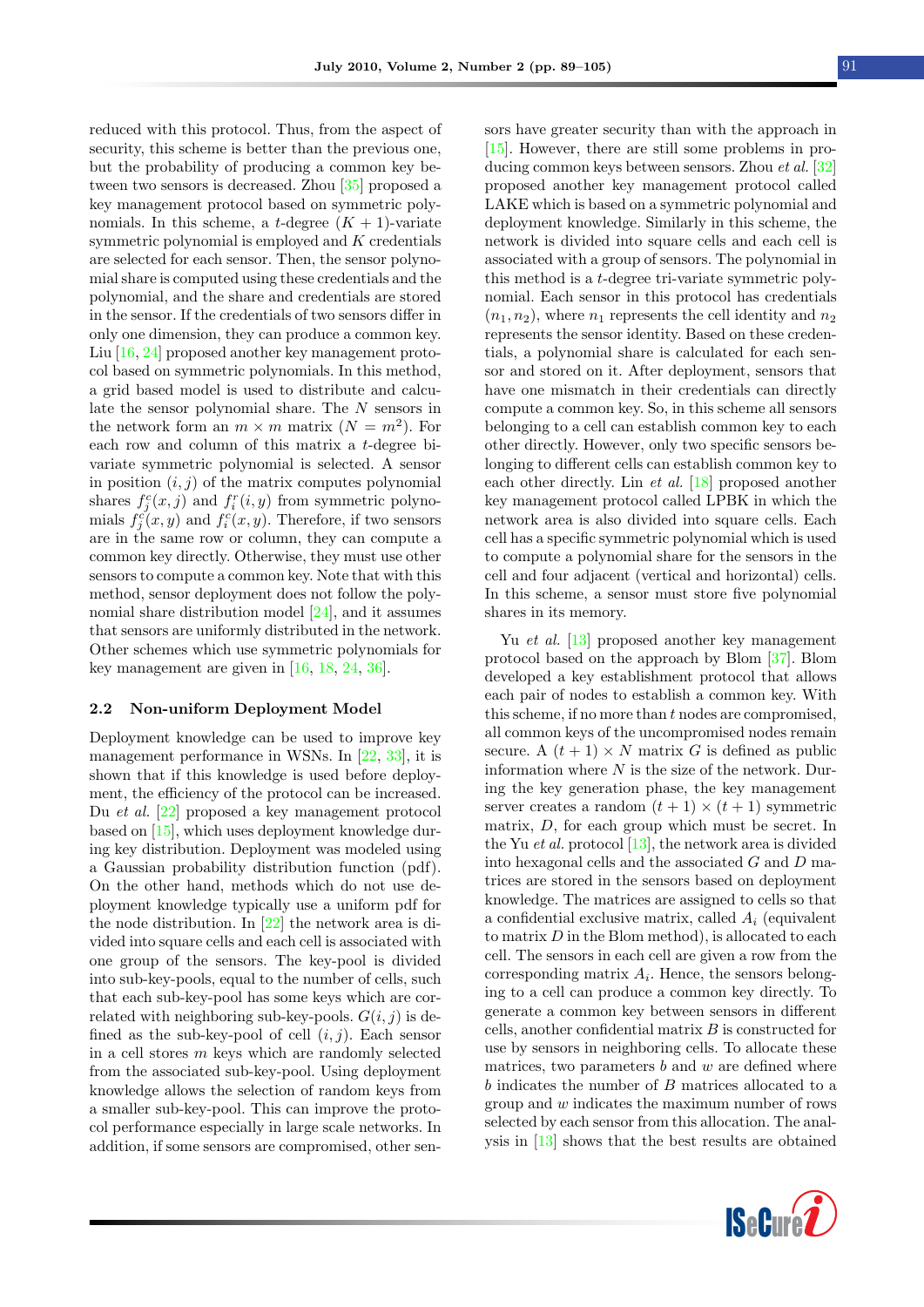reduced with this protocol. Thus, from the aspect of security, this scheme is better than the previous one, but the probability of producing a common key between two sensors is decreased. Zhou [\[35\]](#page-15-2) proposed a key management protocol based on symmetric polynomials. In this scheme, a t-degree  $(K + 1)$ -variate symmetric polynomial is employed and  $K$  credentials are selected for each sensor. Then, the sensor polynomial share is computed using these credentials and the polynomial, and the share and credentials are stored in the sensor. If the credentials of two sensors differ in only one dimension, they can produce a common key. Liu [\[16,](#page-14-10) [24\]](#page-15-3) proposed another key management protocol based on symmetric polynomials. In this method, a grid based model is used to distribute and calculate the sensor polynomial share. The N sensors in the network form an  $m \times m$  matrix  $(N = m^2)$ . For each row and column of this matrix a t-degree bivariate symmetric polynomial is selected. A sensor in position  $(i, j)$  of the matrix computes polynomial shares  $f_j^c(x, j)$  and  $f_i^r(i, y)$  from symmetric polynomials  $f_j^{\tilde{c}}(x, y)$  and  $f_i^{\tilde{c}}(x, y)$ . Therefore, if two sensors are in the same row or column, they can compute a common key directly. Otherwise, they must use other sensors to compute a common key. Note that with this method, sensor deployment does not follow the polynomial share distribution model [\[24\]](#page-15-3), and it assumes that sensors are uniformly distributed in the network. Other schemes which use symmetric polynomials for key management are given in [\[16,](#page-14-10) [18,](#page-14-11) [24,](#page-15-3) [36\]](#page-15-4).

#### 2.2 Non-uniform Deployment Model

Deployment knowledge can be used to improve key management performance in WSNs. In [\[22,](#page-15-5) [33\]](#page-15-0), it is shown that if this knowledge is used before deployment, the efficiency of the protocol can be increased. Du et al. [\[22\]](#page-15-5) proposed a key management protocol based on [\[15\]](#page-14-8), which uses deployment knowledge during key distribution. Deployment was modeled using a Gaussian probability distribution function (pdf). On the other hand, methods which do not use deployment knowledge typically use a uniform pdf for the node distribution. In [\[22\]](#page-15-5) the network area is divided into square cells and each cell is associated with one group of the sensors. The key-pool is divided into sub-key-pools, equal to the number of cells, such that each sub-key-pool has some keys which are correlated with neighboring sub-key-pools.  $G(i, j)$  is defined as the sub-key-pool of cell  $(i, j)$ . Each sensor in a cell stores  $m$  keys which are randomly selected from the associated sub-key-pool. Using deployment knowledge allows the selection of random keys from a smaller sub-key-pool. This can improve the protocol performance especially in large scale networks. In addition, if some sensors are compromised, other sen-

sors have greater security than with the approach in [\[15\]](#page-14-8). However, there are still some problems in producing common keys between sensors. Zhou et al. [\[32\]](#page-15-6) proposed another key management protocol called LAKE which is based on a symmetric polynomial and deployment knowledge. Similarly in this scheme, the network is divided into square cells and each cell is associated with a group of sensors. The polynomial in this method is a t-degree tri-variate symmetric polynomial. Each sensor in this protocol has credentials  $(n_1, n_2)$ , where  $n_1$  represents the cell identity and  $n_2$ represents the sensor identity. Based on these credentials, a polynomial share is calculated for each sensor and stored on it. After deployment, sensors that have one mismatch in their credentials can directly compute a common key. So, in this scheme all sensors belonging to a cell can establish common key to each other directly. However, only two specific sensors belonging to different cells can establish common key to each other directly. Lin et al. [\[18\]](#page-14-11) proposed another key management protocol called LPBK in which the network area is also divided into square cells. Each cell has a specific symmetric polynomial which is used to compute a polynomial share for the sensors in the cell and four adjacent (vertical and horizontal) cells. In this scheme, a sensor must store five polynomial shares in its memory.

Yu *et al.* [\[13\]](#page-14-6) proposed another key management protocol based on the approach by Blom [\[37\]](#page-15-7). Blom developed a key establishment protocol that allows each pair of nodes to establish a common key. With this scheme, if no more than  $t$  nodes are compromised, all common keys of the uncompromised nodes remain secure. A  $(t + 1) \times N$  matrix G is defined as public information where  $N$  is the size of the network. During the key generation phase, the key management server creates a random  $(t + 1) \times (t + 1)$  symmetric matrix, D, for each group which must be secret. In the Yu *et al.* protocol  $[13]$ , the network area is divided into hexagonal cells and the associated  $G$  and  $D$  matrices are stored in the sensors based on deployment knowledge. The matrices are assigned to cells so that a confidential exclusive matrix, called  $A_i$  (equivalent to matrix D in the Blom method), is allocated to each cell. The sensors in each cell are given a row from the corresponding matrix  $A_i$ . Hence, the sensors belonging to a cell can produce a common key directly. To generate a common key between sensors in different cells, another confidential matrix B is constructed for use by sensors in neighboring cells. To allocate these matrices, two parameters  $b$  and  $w$  are defined where b indicates the number of B matrices allocated to a group and w indicates the maximum number of rows selected by each sensor from this allocation. The analysis in [\[13\]](#page-14-6) shows that the best results are obtained

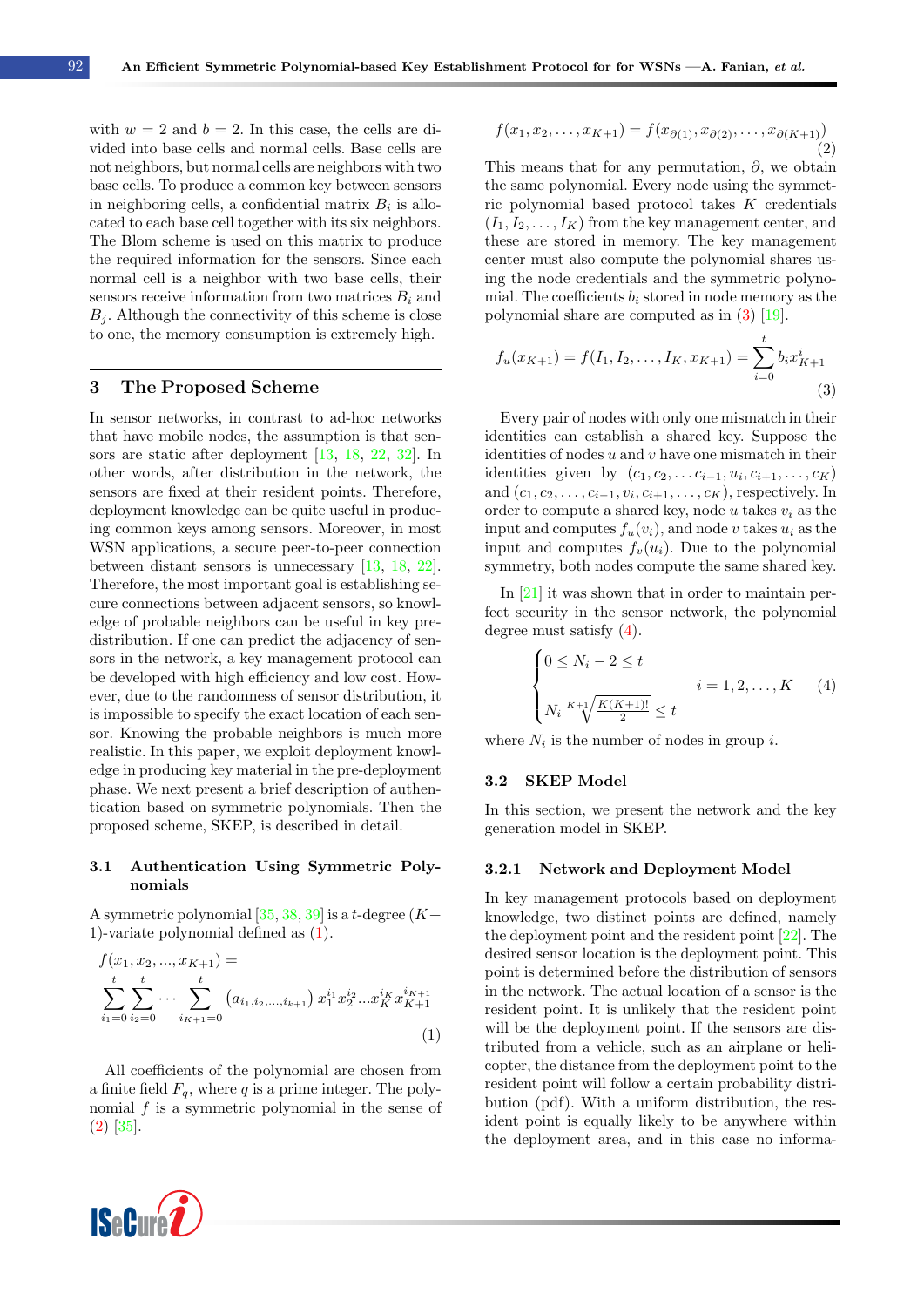with  $w = 2$  and  $b = 2$ . In this case, the cells are divided into base cells and normal cells. Base cells are not neighbors, but normal cells are neighbors with two base cells. To produce a common key between sensors in neighboring cells, a confidential matrix  $B_i$  is allocated to each base cell together with its six neighbors. The Blom scheme is used on this matrix to produce the required information for the sensors. Since each normal cell is a neighbor with two base cells, their sensors receive information from two matrices  $B_i$  and  $B_i$ . Although the connectivity of this scheme is close to one, the memory consumption is extremely high.

# 3 The Proposed Scheme

In sensor networks, in contrast to ad-hoc networks that have mobile nodes, the assumption is that sensors are static after deployment [\[13,](#page-14-6) [18,](#page-14-11) [22,](#page-15-5) [32\]](#page-15-6). In other words, after distribution in the network, the sensors are fixed at their resident points. Therefore, deployment knowledge can be quite useful in producing common keys among sensors. Moreover, in most WSN applications, a secure peer-to-peer connection between distant sensors is unnecessary [\[13,](#page-14-6) [18,](#page-14-11) [22\]](#page-15-5). Therefore, the most important goal is establishing secure connections between adjacent sensors, so knowledge of probable neighbors can be useful in key predistribution. If one can predict the adjacency of sensors in the network, a key management protocol can be developed with high efficiency and low cost. However, due to the randomness of sensor distribution, it is impossible to specify the exact location of each sensor. Knowing the probable neighbors is much more realistic. In this paper, we exploit deployment knowledge in producing key material in the pre-deployment phase. We next present a brief description of authentication based on symmetric polynomials. Then the proposed scheme, SKEP, is described in detail.

# 3.1 Authentication Using Symmetric Polynomials

A symmetric polynomial [\[35,](#page-15-2) [38,](#page-15-8) [39\]](#page-15-9) is a t-degree  $(K+$ 1)-variate polynomial defined as [\(1\)](#page-3-0).

$$
f(x_1, x_2, ..., x_{K+1}) =
$$
  
\n
$$
\sum_{i_1=0}^{t} \sum_{i_2=0}^{t} \cdots \sum_{i_{K+1}=0}^{t} (a_{i_1, i_2, ..., i_{K+1}}) x_1^{i_1} x_2^{i_2} ... x_K^{i_K} x_{K+1}^{i_{K+1}}
$$
  
\n(1)

All coefficients of the polynomial are chosen from a finite field  $F_q$ , where q is a prime integer. The polynomial  $f$  is a symmetric polynomial in the sense of [\(2\)](#page-3-1) [\[35\]](#page-15-2).



<span id="page-3-1"></span>
$$
f(x_1, x_2, \dots, x_{K+1}) = f(x_{\partial(1)}, x_{\partial(2)}, \dots, x_{\partial(K+1)})
$$
\n(2)

This means that for any permutation,  $\partial$ , we obtain the same polynomial. Every node using the symmetric polynomial based protocol takes K credentials  $(I_1, I_2, \ldots, I_K)$  from the key management center, and these are stored in memory. The key management center must also compute the polynomial shares using the node credentials and the symmetric polynomial. The coefficients  $b_i$  stored in node memory as the polynomial share are computed as in [\(3\)](#page-3-2) [\[19\]](#page-14-12).

<span id="page-3-2"></span>
$$
f_u(x_{K+1}) = f(I_1, I_2, \dots, I_K, x_{K+1}) = \sum_{i=0}^{t} b_i x_{K+1}^i
$$
\n(3)

Every pair of nodes with only one mismatch in their identities can establish a shared key. Suppose the identities of nodes  $u$  and  $v$  have one mismatch in their identities given by  $(c_1, c_2, \ldots c_{i-1}, u_i, c_{i+1}, \ldots, c_K)$ and  $(c_1, c_2, \ldots, c_{i-1}, v_i, c_{i+1}, \ldots, c_K)$ , respectively. In order to compute a shared key, node  $u$  takes  $v_i$  as the input and computes  $f_u(v_i)$ , and node v takes  $u_i$  as the input and computes  $f_v(u_i)$ . Due to the polynomial symmetry, both nodes compute the same shared key.

In [\[21\]](#page-15-10) it was shown that in order to maintain perfect security in the sensor network, the polynomial degree must satisfy [\(4\)](#page-3-3).

<span id="page-3-3"></span>
$$
\begin{cases}\n0 \le N_i - 2 \le t \\
\sum_{N_i \le \frac{K+1}{2}} K_i \le t\n\end{cases}
$$
\n $i = 1, 2, \ldots, K$ \n(4)

where  $N_i$  is the number of nodes in group i.

#### <span id="page-3-5"></span>3.2 SKEP Model

In this section, we present the network and the key generation model in SKEP.

#### <span id="page-3-4"></span>3.2.1 Network and Deployment Model

<span id="page-3-0"></span>In key management protocols based on deployment knowledge, two distinct points are defined, namely the deployment point and the resident point [\[22\]](#page-15-5). The desired sensor location is the deployment point. This point is determined before the distribution of sensors in the network. The actual location of a sensor is the resident point. It is unlikely that the resident point will be the deployment point. If the sensors are distributed from a vehicle, such as an airplane or helicopter, the distance from the deployment point to the resident point will follow a certain probability distribution (pdf). With a uniform distribution, the resident point is equally likely to be anywhere within the deployment area, and in this case no informa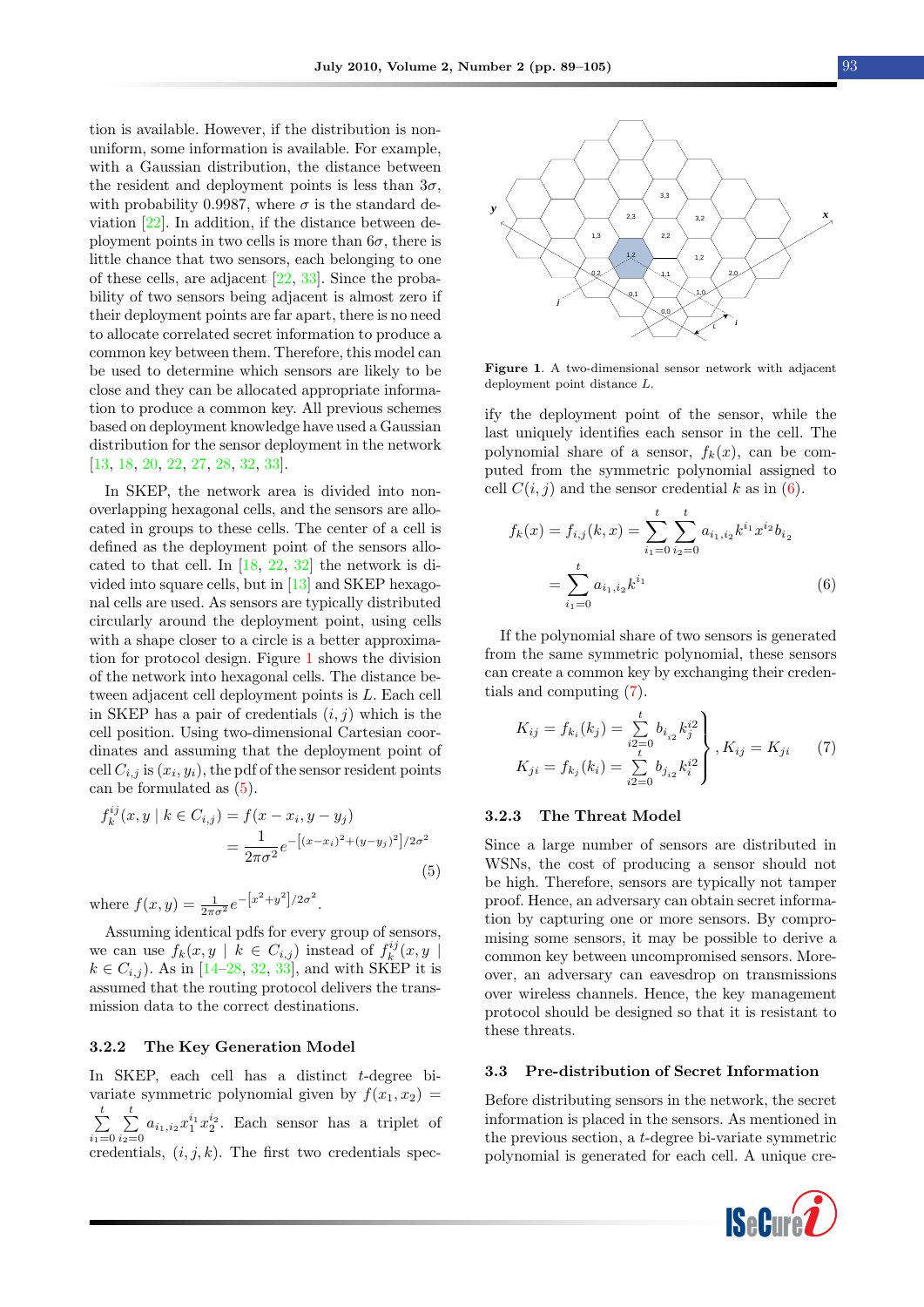tion is available. However, if the distribution is nonuniform, some information is available. For example, with a Gaussian distribution, the distance between the resident and deployment points is less than  $3\sigma$ , with probability 0.9987, where  $\sigma$  is the standard deviation [\[22\]](#page-15-5). In addition, if the distance between deployment points in two cells is more than  $6\sigma$ , there is little chance that two sensors, each belonging to one of these cells, are adjacent [\[22,](#page-15-5) [33\]](#page-15-0). Since the probability of two sensors being adjacent is almost zero if their deployment points are far apart, there is no need to allocate correlated secret information to produce a common key between them. Therefore, this model can be used to determine which sensors are likely to be close and they can be allocated appropriate information to produce a common key. All previous schemes based on deployment knowledge have used a Gaussian distribution for the sensor deployment in the network [\[13,](#page-14-6) [18,](#page-14-11) [20,](#page-14-13) [22,](#page-15-5) [27,](#page-15-11) [28,](#page-15-12) [32,](#page-15-6) [33\]](#page-15-0).

In SKEP, the network area is divided into nonoverlapping hexagonal cells, and the sensors are allocated in groups to these cells. The center of a cell is defined as the deployment point of the sensors allocated to that cell. In [\[18,](#page-14-11) [22,](#page-15-5) [32\]](#page-15-6) the network is divided into square cells, but in [\[13\]](#page-14-6) and SKEP hexagonal cells are used. As sensors are typically distributed circularly around the deployment point, using cells with a shape closer to a circle is a better approximation for protocol design. Figure [1](#page-4-0) shows the division of the network into hexagonal cells. The distance between adjacent cell deployment points is L. Each cell in SKEP has a pair of credentials  $(i, j)$  which is the cell position. Using two-dimensional Cartesian coordinates and assuming that the deployment point of cell  $C_{i,j}$  is  $(x_i, y_i)$ , the pdf of the sensor resident points can be formulated as [\(5\)](#page-4-1). litti change that two someons can be horizonic to the control of the credibility of two same is being at<br>given that the credibility of two credentials and the credibility of two credibility<br>of the small of the control of

$$
f_k^{ij}(x, y \mid k \in C_{i,j}) = f(x - x_i, y - y_j)
$$
  
= 
$$
\frac{1}{2\pi\sigma^2} e^{-\left[(x - x_i)^2 + (y - y_j)^2\right]/2\sigma^2}
$$
(5)

where  $f(x, y) = \frac{1}{2\pi\sigma^2} e^{-\left[x^2 + y^2\right]/2\sigma^2}$ .

Assuming identical pdfs for every group of sensors, we can use  $f_k(x, y \mid k \in C_{i,j})$  instead of  $f_k^{ij}(x, y \mid k$  $k \in C_{i,j}$ ). As in [\[14–](#page-14-9)[28,](#page-15-12) [32,](#page-15-6) [33\]](#page-15-0), and with SKEP it is assumed that the routing protocol delivers the transmission data to the correct destinations.

#### 3.2.2 The Key Generation Model

In SKEP, each cell has a distinct t-degree bivariate symmetric polynomial given by  $f(x_1, x_2) =$  $\sum_{i=1}^{t}$  $i_1=0$  $\sum_{i=1}^{t}$  $\sum_{i_2=0}^{\infty} a_{i_1,i_2} x_1^{i_1} x_2^{i_2}$ . Each sensor has a triplet of

<span id="page-4-0"></span>

Figure 1. A two-dimensional sensor network with adjacent deployment point distance L.

ify the deployment point of the sensor, while the last uniquely identifies each sensor in the cell. The polynomial share of a sensor,  $f_k(x)$ , can be computed from the symmetric polynomial assigned to cell  $C(i, i)$  and the sensor credential k as in [\(6\)](#page-4-2).

<span id="page-4-2"></span>
$$
f_k(x) = f_{i,j}(k, x) = \sum_{i_1=0}^t \sum_{i_2=0}^t a_{i_1, i_2} k^{i_1} x^{i_2} b_{i_2}
$$

$$
= \sum_{i_1=0}^t a_{i_1, i_2} k^{i_1}
$$
(6)

If the polynomial share of two sensors is generated from the same symmetric polynomial, these sensors can create a common key by exchanging their credentials and computing [\(7\)](#page-4-3).

<span id="page-4-3"></span>
$$
K_{ij} = f_{k_i}(k_j) = \sum_{i=0}^{t} b_{i_{i2}} k_j^{i2}
$$
  
\n
$$
K_{ji} = f_{k_j}(k_i) = \sum_{i=0}^{t} b_{j_{i2}} k_i^{i2}
$$
,  $K_{ij} = K_{ji}$  (7)

#### 3.2.3 The Threat Model

<span id="page-4-1"></span>Since a large number of sensors are distributed in WSNs, the cost of producing a sensor should not be high. Therefore, sensors are typically not tamper proof. Hence, an adversary can obtain secret information by capturing one or more sensors. By compromising some sensors, it may be possible to derive a common key between uncompromised sensors. Moreover, an adversary can eavesdrop on transmissions over wireless channels. Hence, the key management protocol should be designed so that it is resistant to these threats.

#### 3.3 Pre-distribution of Secret Information

Before distributing sensors in the network, the secret information is placed in the sensors. As mentioned in the previous section, a t-degree bi-variate symmetric polynomial is generated for each cell. A unique cre-

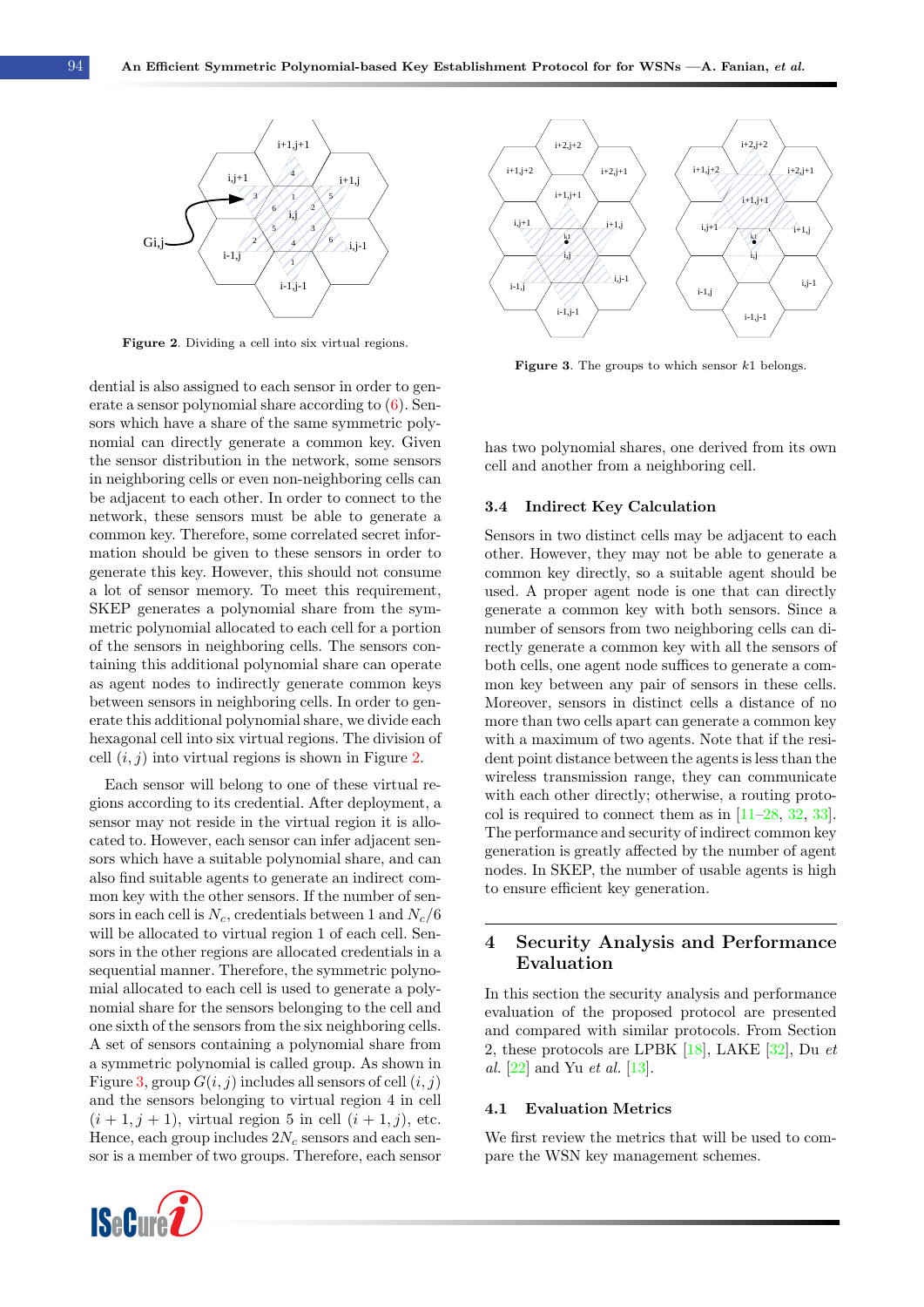<span id="page-5-0"></span>

Figure 2. Dividing a cell into six virtual regions.

dential is also assigned to each sensor in order to generate a sensor polynomial share according to [\(6\)](#page-4-2). Sensors which have a share of the same symmetric polynomial can directly generate a common key. Given the sensor distribution in the network, some sensors in neighboring cells or even non-neighboring cells can be adjacent to each other. In order to connect to the network, these sensors must be able to generate a common key. Therefore, some correlated secret information should be given to these sensors in order to generate this key. However, this should not consume a lot of sensor memory. To meet this requirement, SKEP generates a polynomial share from the symmetric polynomial allocated to each cell for a portion of the sensors in neighboring cells. The sensors containing this additional polynomial share can operate as agent nodes to indirectly generate common keys between sensors in neighboring cells. In order to generate this additional polynomial share, we divide each hexagonal cell into six virtual regions. The division of cell  $(i, j)$  into virtual regions is shown in Figure [2.](#page-5-0)

Each sensor will belong to one of these virtual regions according to its credential. After deployment, a sensor may not reside in the virtual region it is allocated to. However, each sensor can infer adjacent sensors which have a suitable polynomial share, and can also find suitable agents to generate an indirect common key with the other sensors. If the number of sensors in each cell is  $N_c$ , credentials between 1 and  $N_c/6$ will be allocated to virtual region 1 of each cell. Sensors in the other regions are allocated credentials in a sequential manner. Therefore, the symmetric polynomial allocated to each cell is used to generate a polynomial share for the sensors belonging to the cell and one sixth of the sensors from the six neighboring cells. A set of sensors containing a polynomial share from a symmetric polynomial is called group. As shown in Figure [3,](#page-5-1) group  $G(i, j)$  includes all sensors of cell  $(i, j)$ and the sensors belonging to virtual region 4 in cell  $(i + 1, j + 1)$ , virtual region 5 in cell  $(i + 1, j)$ , etc. Hence, each group includes  $2N_c$  sensors and each sensor is a member of two groups. Therefore, each sensor



<span id="page-5-1"></span>

Figure 3. The groups to which sensor  $k1$  belongs.

has two polynomial shares, one derived from its own cell and another from a neighboring cell.

#### 3.4 Indirect Key Calculation

Sensors in two distinct cells may be adjacent to each other. However, they may not be able to generate a common key directly, so a suitable agent should be used. A proper agent node is one that can directly generate a common key with both sensors. Since a number of sensors from two neighboring cells can directly generate a common key with all the sensors of both cells, one agent node suffices to generate a common key between any pair of sensors in these cells. Moreover, sensors in distinct cells a distance of no more than two cells apart can generate a common key with a maximum of two agents. Note that if the resident point distance between the agents is less than the wireless transmission range, they can communicate with each other directly; otherwise, a routing protocol is required to connect them as in [\[11–](#page-14-4)[28,](#page-15-12) [32,](#page-15-6) [33\]](#page-15-0). The performance and security of indirect common key generation is greatly affected by the number of agent nodes. In SKEP, the number of usable agents is high to ensure efficient key generation.

# 4 Security Analysis and Performance Evaluation

In this section the security analysis and performance evaluation of the proposed protocol are presented and compared with similar protocols. From Section 2, these protocols are LPBK  $[18]$ , LAKE  $[32]$ , Du et al. [\[22\]](#page-15-5) and Yu et al. [\[13\]](#page-14-6).

#### 4.1 Evaluation Metrics

We first review the metrics that will be used to compare the WSN key management schemes.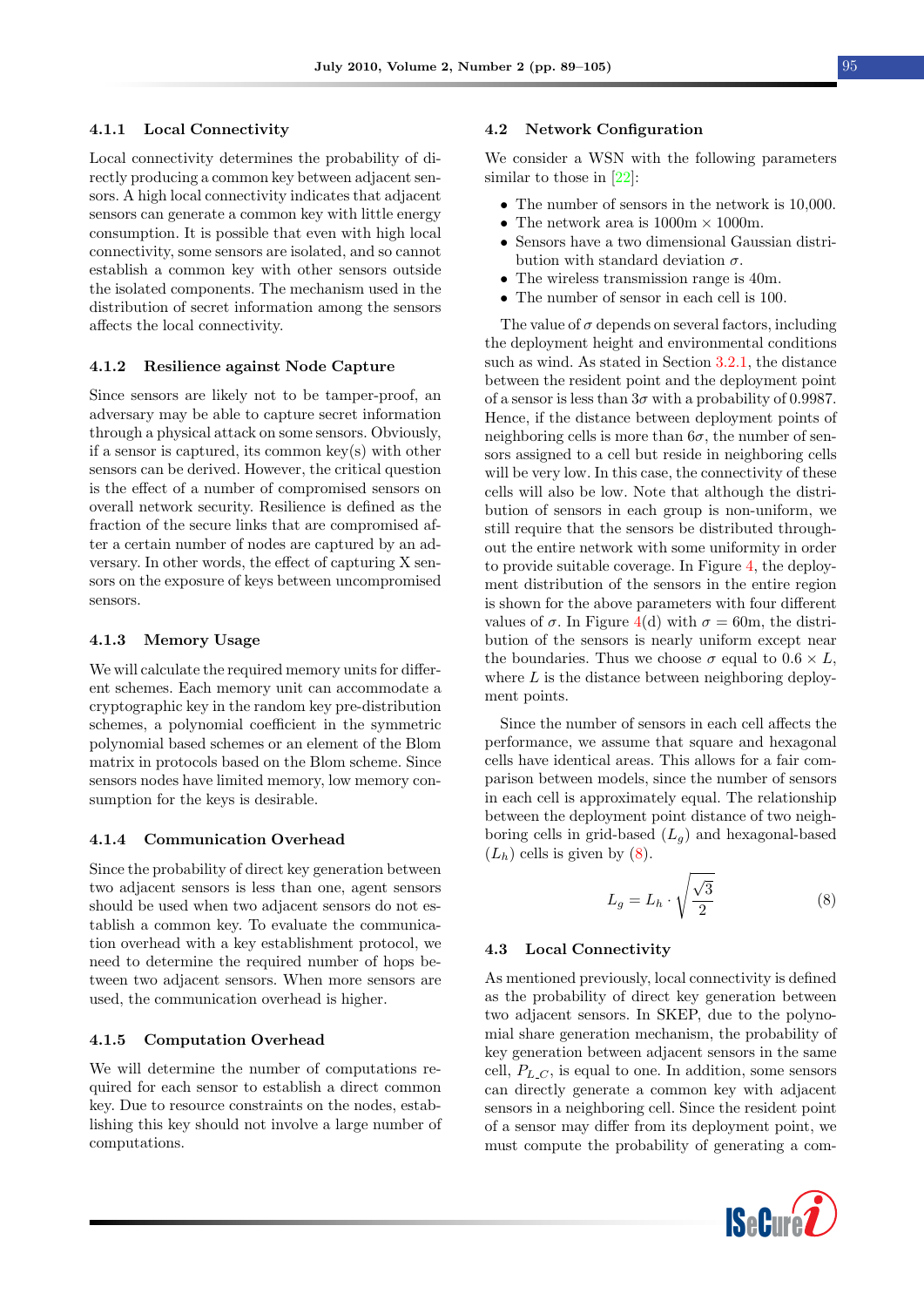#### 4.1.1 Local Connectivity

Local connectivity determines the probability of directly producing a common key between adjacent sensors. A high local connectivity indicates that adjacent sensors can generate a common key with little energy consumption. It is possible that even with high local connectivity, some sensors are isolated, and so cannot establish a common key with other sensors outside the isolated components. The mechanism used in the distribution of secret information among the sensors affects the local connectivity.

#### 4.1.2 Resilience against Node Capture

Since sensors are likely not to be tamper-proof, an adversary may be able to capture secret information through a physical attack on some sensors. Obviously, if a sensor is captured, its common key(s) with other sensors can be derived. However, the critical question is the effect of a number of compromised sensors on overall network security. Resilience is defined as the fraction of the secure links that are compromised after a certain number of nodes are captured by an adversary. In other words, the effect of capturing X sensors on the exposure of keys between uncompromised sensors.

#### 4.1.3 Memory Usage

We will calculate the required memory units for different schemes. Each memory unit can accommodate a cryptographic key in the random key pre-distribution schemes, a polynomial coefficient in the symmetric polynomial based schemes or an element of the Blom matrix in protocols based on the Blom scheme. Since sensors nodes have limited memory, low memory consumption for the keys is desirable.

#### 4.1.4 Communication Overhead

Since the probability of direct key generation between two adjacent sensors is less than one, agent sensors should be used when two adjacent sensors do not establish a common key. To evaluate the communication overhead with a key establishment protocol, we need to determine the required number of hops between two adjacent sensors. When more sensors are used, the communication overhead is higher.

#### 4.1.5 Computation Overhead

We will determine the number of computations required for each sensor to establish a direct common key. Due to resource constraints on the nodes, establishing this key should not involve a large number of computations.

#### 4.2 Network Configuration

We consider a WSN with the following parameters similar to those in [\[22\]](#page-15-5):

- The number of sensors in the network is 10,000.
- The network area is  $1000 \text{m} \times 1000 \text{m}$ .
- Sensors have a two dimensional Gaussian distribution with standard deviation  $\sigma$ .
- The wireless transmission range is 40m.
- The number of sensor in each cell is 100.

The value of  $\sigma$  depends on several factors, including the deployment height and environmental conditions such as wind. As stated in Section [3.2.1,](#page-3-4) the distance between the resident point and the deployment point of a sensor is less than  $3\sigma$  with a probability of 0.9987. Hence, if the distance between deployment points of neighboring cells is more than  $6\sigma$ , the number of sensors assigned to a cell but reside in neighboring cells will be very low. In this case, the connectivity of these cells will also be low. Note that although the distribution of sensors in each group is non-uniform, we still require that the sensors be distributed throughout the entire network with some uniformity in order to provide suitable coverage. In Figure [4,](#page-7-0) the deployment distribution of the sensors in the entire region is shown for the above parameters with four different values of  $\sigma$ . In Figure [4\(](#page-7-0)d) with  $\sigma = 60$ m, the distribution of the sensors is nearly uniform except near the boundaries. Thus we choose  $\sigma$  equal to  $0.6 \times L$ , where  $L$  is the distance between neighboring deployment points.

Since the number of sensors in each cell affects the performance, we assume that square and hexagonal cells have identical areas. This allows for a fair comparison between models, since the number of sensors in each cell is approximately equal. The relationship between the deployment point distance of two neighboring cells in grid-based  $(L_q)$  and hexagonal-based  $(L_h)$  cells is given by  $(8)$ .

<span id="page-6-0"></span>
$$
L_g = L_h \cdot \sqrt{\frac{\sqrt{3}}{2}} \tag{8}
$$

#### 4.3 Local Connectivity

As mentioned previously, local connectivity is defined as the probability of direct key generation between two adjacent sensors. In SKEP, due to the polynomial share generation mechanism, the probability of key generation between adjacent sensors in the same cell,  $P_{L,C}$ , is equal to one. In addition, some sensors can directly generate a common key with adjacent sensors in a neighboring cell. Since the resident point of a sensor may differ from its deployment point, we must compute the probability of generating a com-

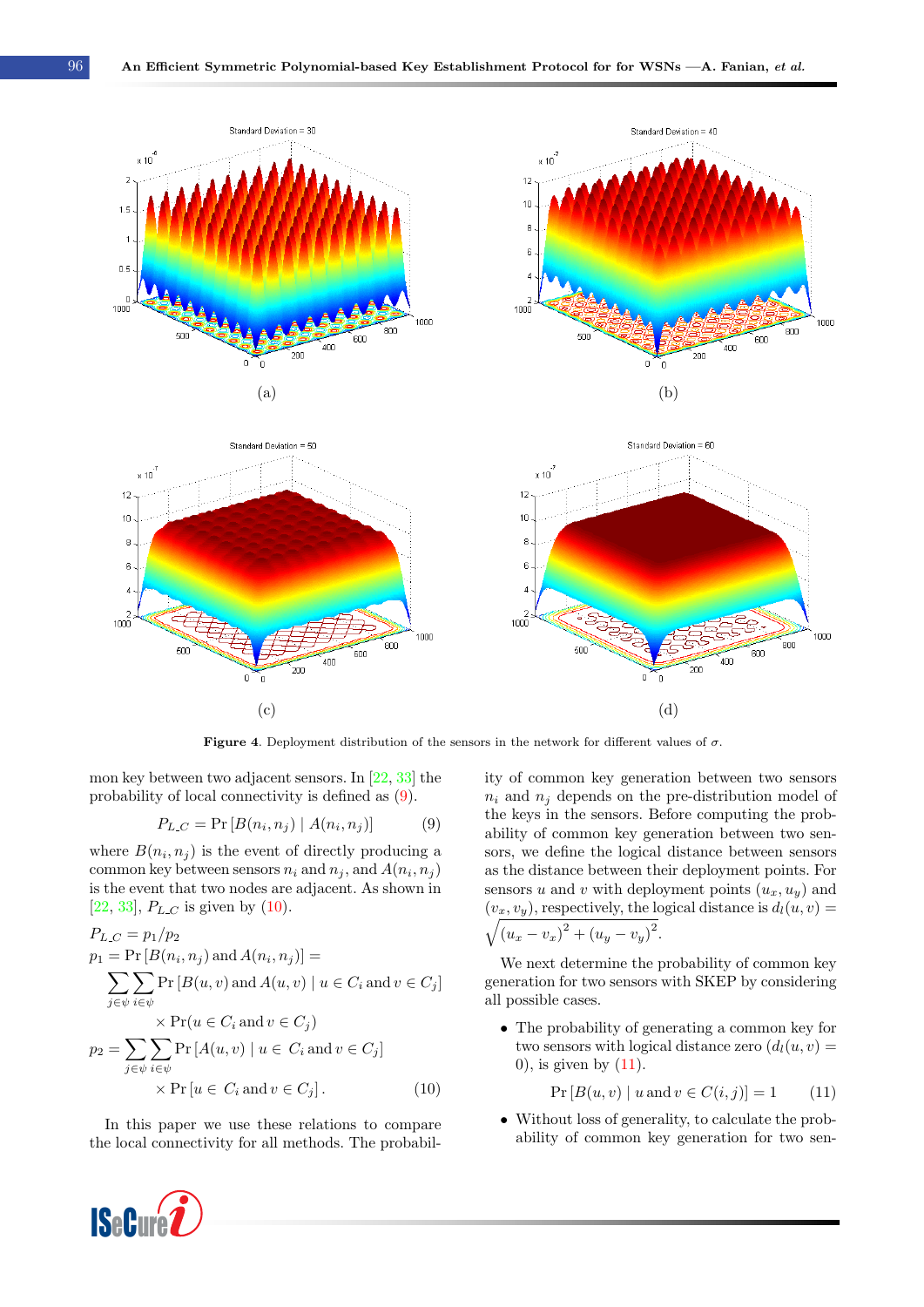<span id="page-7-0"></span>

**Figure 4.** Deployment distribution of the sensors in the network for different values of  $\sigma$ .

mon key between two adjacent sensors. In [\[22,](#page-15-5) [33\]](#page-15-0) the probability of local connectivity is defined as [\(9\)](#page-7-1).

<span id="page-7-1"></span>
$$
P_{L,C} = \Pr[B(n_i, n_j) | A(n_i, n_j)] \tag{9}
$$

where  $B(n_i, n_j)$  is the event of directly producing a common key between sensors  $n_i$  and  $n_j$ , and  $A(n_i, n_j)$ is the event that two nodes are adjacent. As shown in [\[22,](#page-15-5) [33\]](#page-15-0),  $P_{L,C}$  is given by [\(10\)](#page-7-2).

$$
P_{L,C} = p_1/p_2
$$
  
\n
$$
p_1 = \Pr [B(n_i, n_j) \text{ and } A(n_i, n_j)] =
$$
  
\n
$$
\sum_{j \in \psi} \sum_{i \in \psi} \Pr [B(u, v) \text{ and } A(u, v) \mid u \in C_i \text{ and } v \in C_j]
$$
  
\n
$$
\times \Pr (u \in C_i \text{ and } v \in C_j)
$$
  
\n
$$
p_2 = \sum_{j \in \psi} \sum_{i \in \psi} \Pr [A(u, v) \mid u \in C_i \text{ and } v \in C_j]
$$
  
\n
$$
\times \Pr [u \in C_i \text{ and } v \in C_j].
$$
\n(10)

In this paper we use these relations to compare the local connectivity for all methods. The probability of common key generation between two sensors  $n_i$  and  $n_j$  depends on the pre-distribution model of the keys in the sensors. Before computing the probability of common key generation between two sensors, we define the logical distance between sensors as the distance between their deployment points. For sensors u and v with deployment points  $(u_x, u_y)$  and  $(v_x, v_y)$ , respectively, the logical distance is  $d_l(u, v) =$  $\sqrt{(u_x - v_x)^2 + (u_y - v_y)^2}.$ 

We next determine the probability of common key generation for two sensors with SKEP by considering all possible cases.

• The probability of generating a common key for two sensors with logical distance zero  $(d_1(u, v))$  $0$ , is given by  $(11)$ .

<span id="page-7-3"></span>
$$
Pr[B(u, v) | u and v \in C(i, j)] = 1
$$
 (11)

<span id="page-7-2"></span>• Without loss of generality, to calculate the probability of common key generation for two sen-

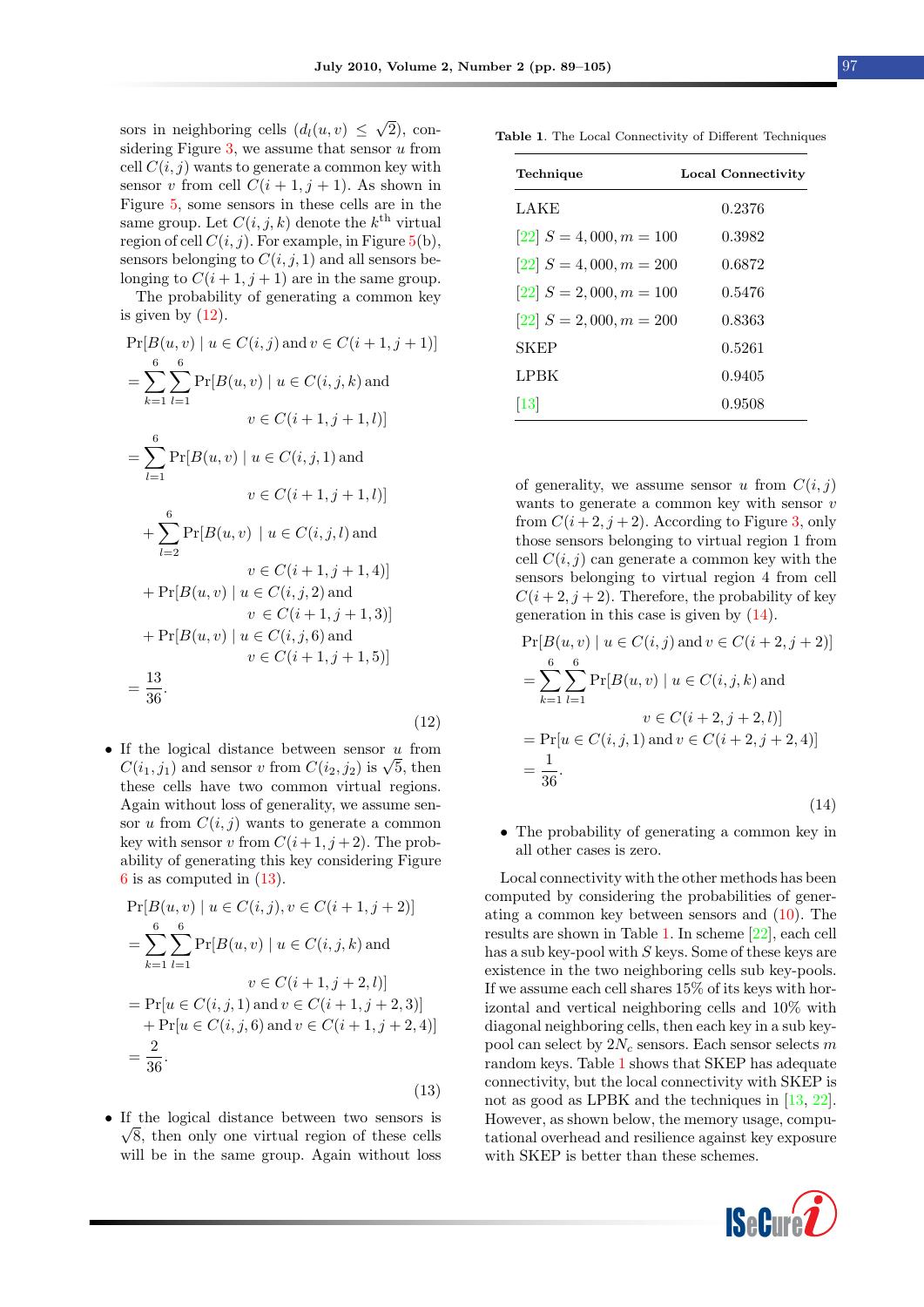sors in neighboring cells  $(d_l(u, v) \leq$ √ 2), con-sidering Figure [3,](#page-5-1) we assume that sensor  $u$  from cell  $C(i, j)$  wants to generate a common key with sensor v from cell  $C(i + 1, j + 1)$ . As shown in Figure [5,](#page-9-0) some sensors in these cells are in the same group. Let  $C(i, j, k)$  denote the  $k^{\text{th}}$  virtual region of cell  $C(i, j)$ . For example, in Figure [5\(](#page-9-0)b), sensors belonging to  $C(i, j, 1)$  and all sensors belonging to  $C(i + 1, j + 1)$  are in the same group.

The probability of generating a common key is given by  $(12)$ .

$$
Pr[B(u, v) | u \in C(i, j) \text{ and } v \in C(i + 1, j + 1)]
$$
\n
$$
= \sum_{k=1}^{6} \sum_{l=1}^{6} Pr[B(u, v) | u \in C(i, j, k) \text{ and}
$$
\n
$$
v \in C(i + 1, j + 1, l)]
$$
\n
$$
= \sum_{l=1}^{6} Pr[B(u, v) | u \in C(i, j, 1) \text{ and}
$$
\n
$$
v \in C(i + 1, j + 1, l)]
$$
\n
$$
+ \sum_{l=2}^{6} Pr[B(u, v) | u \in C(i, j, l) \text{ and}
$$
\n
$$
v \in C(i + 1, j + 1, 4)]
$$
\n
$$
+ Pr[B(u, v) | u \in C(i, j, 2) \text{ and}
$$
\n
$$
v \in C(i + 1, j + 1, 3)]
$$
\n
$$
+ Pr[B(u, v) | u \in C(i, j, 6) \text{ and}
$$
\n
$$
v \in C(i + 1, j + 1, 5)]
$$
\n
$$
= \frac{13}{36}.
$$
\n(12)

• If the logical distance between sensor  $u$  from If the logical distance between sensor u from  $C(i_1, j_1)$  and sensor v from  $C(i_2, j_2)$  is  $\sqrt{5}$ , then these cells have two common virtual regions. Again without loss of generality, we assume sensor u from  $C(i, j)$  wants to generate a common key with sensor v from  $C(i+1, j+2)$ . The probability of generating this key considering Figure [6](#page-9-1) is as computed in [\(13\)](#page-8-1).

$$
\Pr[B(u, v) \mid u \in C(i, j), v \in C(i + 1, j + 2)]
$$
\n
$$
= \sum_{k=1}^{6} \sum_{l=1}^{6} \Pr[B(u, v) \mid u \in C(i, j, k) \text{ and}
$$
\n
$$
v \in C(i + 1, j + 2, l)]
$$
\n
$$
= \Pr[u \in C(i, j, 1) \text{ and } v \in C(i + 1, j + 2, 3)]
$$
\n
$$
+ \Pr[u \in C(i, j, 6) \text{ and } v \in C(i + 1, j + 2, 4)]
$$
\n
$$
= \frac{2}{36}.
$$

• If the logical distance between two sensors is √  $\sqrt{8}$ , then only one virtual region of these cells will be in the same group. Again without loss

<span id="page-8-1"></span>(13)

<span id="page-8-3"></span>Table 1. The Local Connectivity of Different Techniques

| Technique                     | Local Connectivity |
|-------------------------------|--------------------|
| LAKE                          | 0.2376             |
| $[22] S = 4,000, m = 100$     | 0.3982             |
| $[22] S = 4,000, m = 200$     | 0.6872             |
| $[22] S = 2,000, m = 100$     | 0.5476             |
| $[22] S = 2,000, m = 200$     | 0.8363             |
| SKEP                          | 0.5261             |
| <b>LPBK</b>                   | 0.9405             |
| $\left\lceil 13 \right\rceil$ | 0.9508             |

of generality, we assume sensor u from  $C(i, j)$ wants to generate a common key with sensor  $v$ from  $C(i+2, j+2)$ . According to Figure [3,](#page-5-1) only those sensors belonging to virtual region 1 from cell  $C(i, j)$  can generate a common key with the sensors belonging to virtual region 4 from cell  $C(i+2, j+2)$ . Therefore, the probability of key generation in this case is given by [\(14\)](#page-8-2).

<span id="page-8-0"></span>
$$
\Pr[B(u, v) \mid u \in C(i, j) \text{ and } v \in C(i + 2, j + 2)]
$$
\n
$$
= \sum_{k=1}^{6} \sum_{l=1}^{6} \Pr[B(u, v) \mid u \in C(i, j, k) \text{ and}
$$
\n
$$
v \in C(i + 2, j + 2, l)]
$$
\n
$$
= \Pr[u \in C(i, j, 1) \text{ and } v \in C(i + 2, j + 2, 4)]
$$
\n
$$
= \frac{1}{36}.
$$
\n(14)

<span id="page-8-2"></span>• The probability of generating a common key in all other cases is zero.

Local connectivity with the other methods has been computed by considering the probabilities of generating a common key between sensors and [\(10\)](#page-7-2). The results are shown in Table [1.](#page-8-3) In scheme [\[22\]](#page-15-5), each cell has a sub key-pool with S keys. Some of these keys are existence in the two neighboring cells sub key-pools. If we assume each cell shares 15% of its keys with horizontal and vertical neighboring cells and 10% with diagonal neighboring cells, then each key in a sub keypool can select by  $2N_c$  sensors. Each sensor selects m random keys. Table [1](#page-8-3) shows that SKEP has adequate connectivity, but the local connectivity with SKEP is not as good as LPBK and the techniques in [\[13,](#page-14-6) [22\]](#page-15-5). However, as shown below, the memory usage, computational overhead and resilience against key exposure with SKEP is better than these schemes.

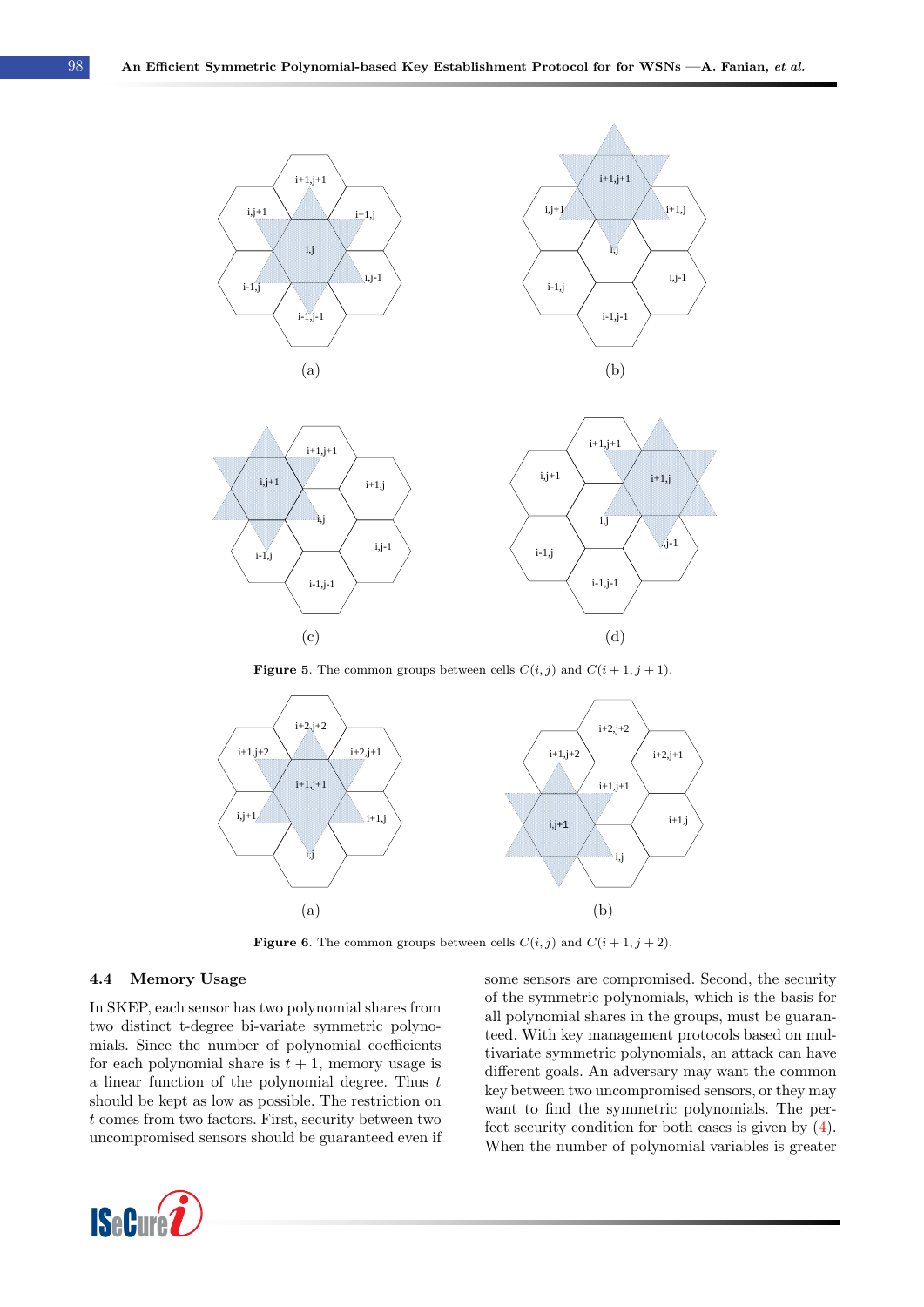<span id="page-9-0"></span>

**Figure 5.** The common groups between cells  $C(i, j)$  and  $C(i + 1, j + 1)$ .

<span id="page-9-1"></span>

**Figure 6.** The common groups between cells  $C(i, j)$  and  $C(i + 1, j + 2)$ .

#### 4.4 Memory Usage

In SKEP, each sensor has two polynomial shares from two distinct t-degree bi-variate symmetric polynomials. Since the number of polynomial coefficients for each polynomial share is  $t + 1$ , memory usage is a linear function of the polynomial degree. Thus  $t$ should be kept as low as possible. The restriction on t comes from two factors. First, security between two uncompromised sensors should be guaranteed even if



some sensors are compromised. Second, the security of the symmetric polynomials, which is the basis for all polynomial shares in the groups, must be guaranteed. With key management protocols based on multivariate symmetric polynomials, an attack can have different goals. An adversary may want the common key between two uncompromised sensors, or they may want to find the symmetric polynomials. The perfect security condition for both cases is given by [\(4\)](#page-3-3). When the number of polynomial variables is greater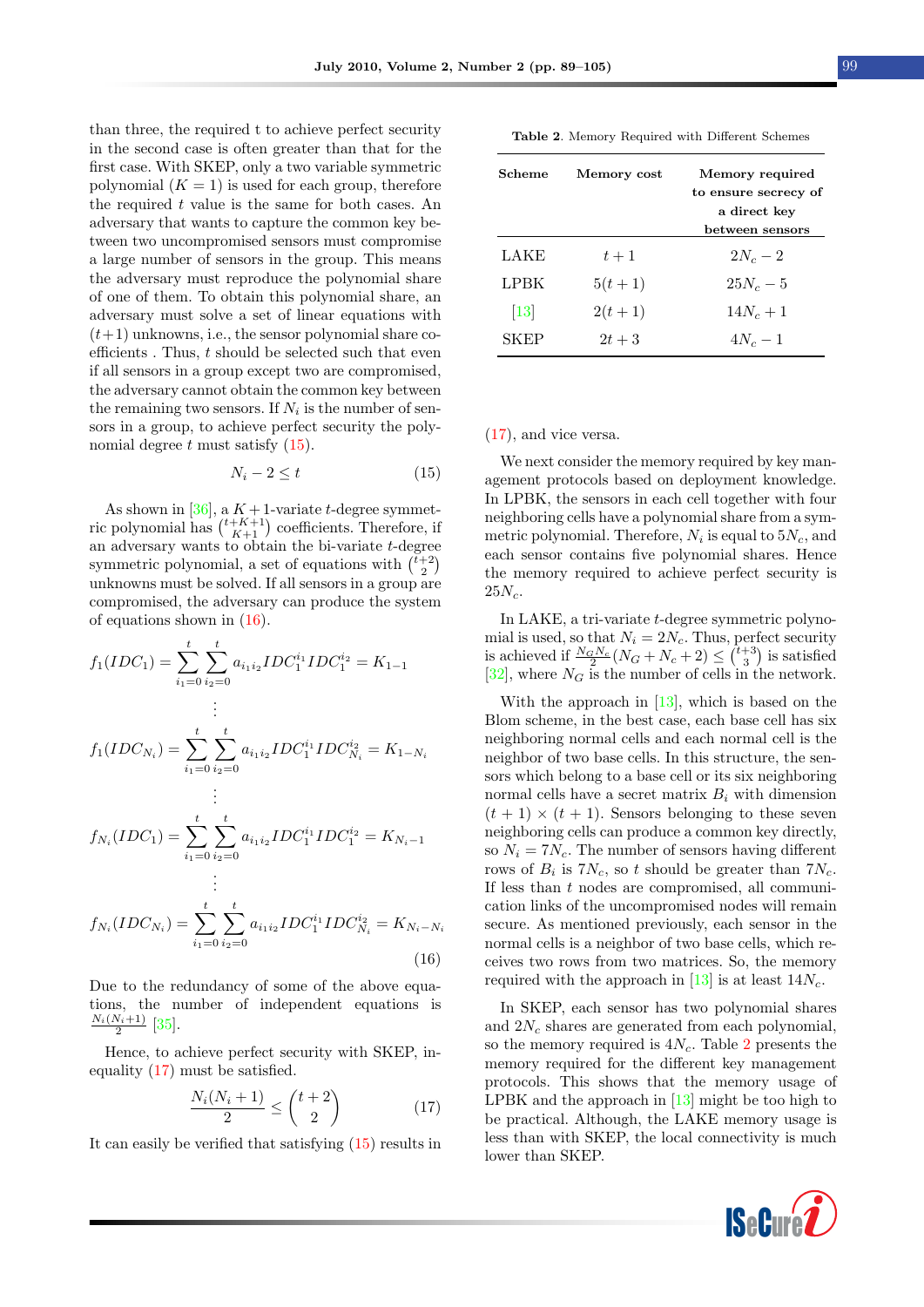than three, the required t to achieve perfect security in the second case is often greater than that for the first case. With SKEP, only a two variable symmetric polynomial  $(K = 1)$  is used for each group, therefore the required  $t$  value is the same for both cases. An adversary that wants to capture the common key between two uncompromised sensors must compromise a large number of sensors in the group. This means the adversary must reproduce the polynomial share of one of them. To obtain this polynomial share, an adversary must solve a set of linear equations with  $(t+1)$  unknowns, i.e., the sensor polynomial share coefficients . Thus,  $t$  should be selected such that even if all sensors in a group except two are compromised, the adversary cannot obtain the common key between the remaining two sensors. If  $N_i$  is the number of sensors in a group, to achieve perfect security the polynomial degree  $t$  must satisfy  $(15)$ .

<span id="page-10-0"></span>
$$
N_i - 2 \le t \tag{15}
$$

As shown in  $[36]$ , a  $K+1$ -variate t-degree symmetric polynomial has  $\binom{t+K+1}{K+1}$  coefficients. Therefore, if an adversary wants to obtain the bi-variate  $t$ -degree symmetric polynomial, a set of equations with  $\binom{\tilde{t}+2}{2}$ Equations with  $\begin{pmatrix} 2 \\ 2 \end{pmatrix}$  unknowns must be solved. If all sensors in a group are  $\lambda$ compromised, the adversary can produce the system of equations shown in [\(16\)](#page-10-1).

$$
f_1(IDC_1) = \sum_{i_1=0}^t \sum_{i_2=0}^t a_{i_1 i_2} IDC_1^{i_1}IDC_1^{i_2} = K_{1-1}
$$
  
\n
$$
\vdots
$$
  
\n
$$
f_1(IDC_{N_i}) = \sum_{i_1=0}^t \sum_{i_2=0}^t a_{i_1 i_2} IDC_1^{i_1}IDC_{N_i}^{i_2} = K_{1-N_i}
$$
  
\n
$$
\vdots
$$
  
\n
$$
f_{N_i}(IDC_1) = \sum_{i_1=0}^t \sum_{i_2=0}^t a_{i_1 i_2} IDC_1^{i_1}IDC_1^{i_2} = K_{N_i-1}
$$
  
\n
$$
\vdots
$$

$$
f_{N_i}(IDC_{N_i}) = \sum_{i_1=0}^{t} \sum_{i_2=0}^{t} a_{i_1 i_2} IDC_1^{i_1}IDC_{N_i}^{i_2} = K_{N_i - N_i}
$$
\n(16)

Due to the redundancy of some of the above equations, the number of independent equations is  $\frac{N_i(N_i+1)}{2}$  [\[35\]](#page-15-2).

Hence, to achieve perfect security with SKEP, inequality [\(17\)](#page-10-2) must be satisfied.

<span id="page-10-2"></span>
$$
\frac{N_i(N_i+1)}{2} \le \binom{t+2}{2} \tag{17}
$$

It can easily be verified that satisfying [\(15\)](#page-10-0) results in

<span id="page-10-3"></span>

| <b>Table 2.</b> Memory Required with Different Schemes |  |  |  |  |
|--------------------------------------------------------|--|--|--|--|
|--------------------------------------------------------|--|--|--|--|

| Scheme           | Memory cost | Memory required      |
|------------------|-------------|----------------------|
|                  |             | to ensure secrecy of |
|                  |             | a direct key         |
|                  |             | between sensors      |
| LAKE             | $t+1$       | $2N_c-2$             |
| LPBK             | $5(t+1)$    | $25N_c - 5$          |
| $\vert 13 \vert$ | $2(t+1)$    | $14N_c + 1$          |
| SKEP             | $2t + 3$    | $4N_c-1$             |

#### [\(17\)](#page-10-2), and vice versa.

We next consider the memory required by key management protocols based on deployment knowledge. In LPBK, the sensors in each cell together with four neighboring cells have a polynomial share from a symmetric polynomial. Therefore,  $N_i$  is equal to  $5N_c$ , and each sensor contains five polynomial shares. Hence the memory required to achieve perfect security is  $25N_c$ .

In LAKE, a tri-variate t-degree symmetric polynomial is used, so that  $N_i = 2N_c$ . Thus, perfect security is achieved if  $\frac{N_G N_c}{2}(N_G+N_c+2) \leq {\binom{t+3}{3}}$  is satisfied [\[32\]](#page-15-6), where  $N_G$  is the number of cells in the network.

With the approach in [\[13\]](#page-14-6), which is based on the Blom scheme, in the best case, each base cell has six neighboring normal cells and each normal cell is the neighbor of two base cells. In this structure, the sensors which belong to a base cell or its six neighboring normal cells have a secret matrix  $B_i$  with dimension  $(t + 1) \times (t + 1)$ . Sensors belonging to these seven neighboring cells can produce a common key directly, so  $N_i = 7N_c$ . The number of sensors having different rows of  $B_i$  is  $7N_c$ , so t should be greater than  $7N_c$ . If less than  $t$  nodes are compromised, all communication links of the uncompromised nodes will remain secure. As mentioned previously, each sensor in the normal cells is a neighbor of two base cells, which receives two rows from two matrices. So, the memory required with the approach in  $[13]$  is at least  $14N_c$ .

<span id="page-10-1"></span>In SKEP, each sensor has two polynomial shares and  $2N_c$  shares are generated from each polynomial, so the memory required is  $4N_c$ . Table [2](#page-10-3) presents the memory required for the different key management protocols. This shows that the memory usage of LPBK and the approach in [\[13\]](#page-14-6) might be too high to be practical. Although, the LAKE memory usage is less than with SKEP, the local connectivity is much lower than SKEP.

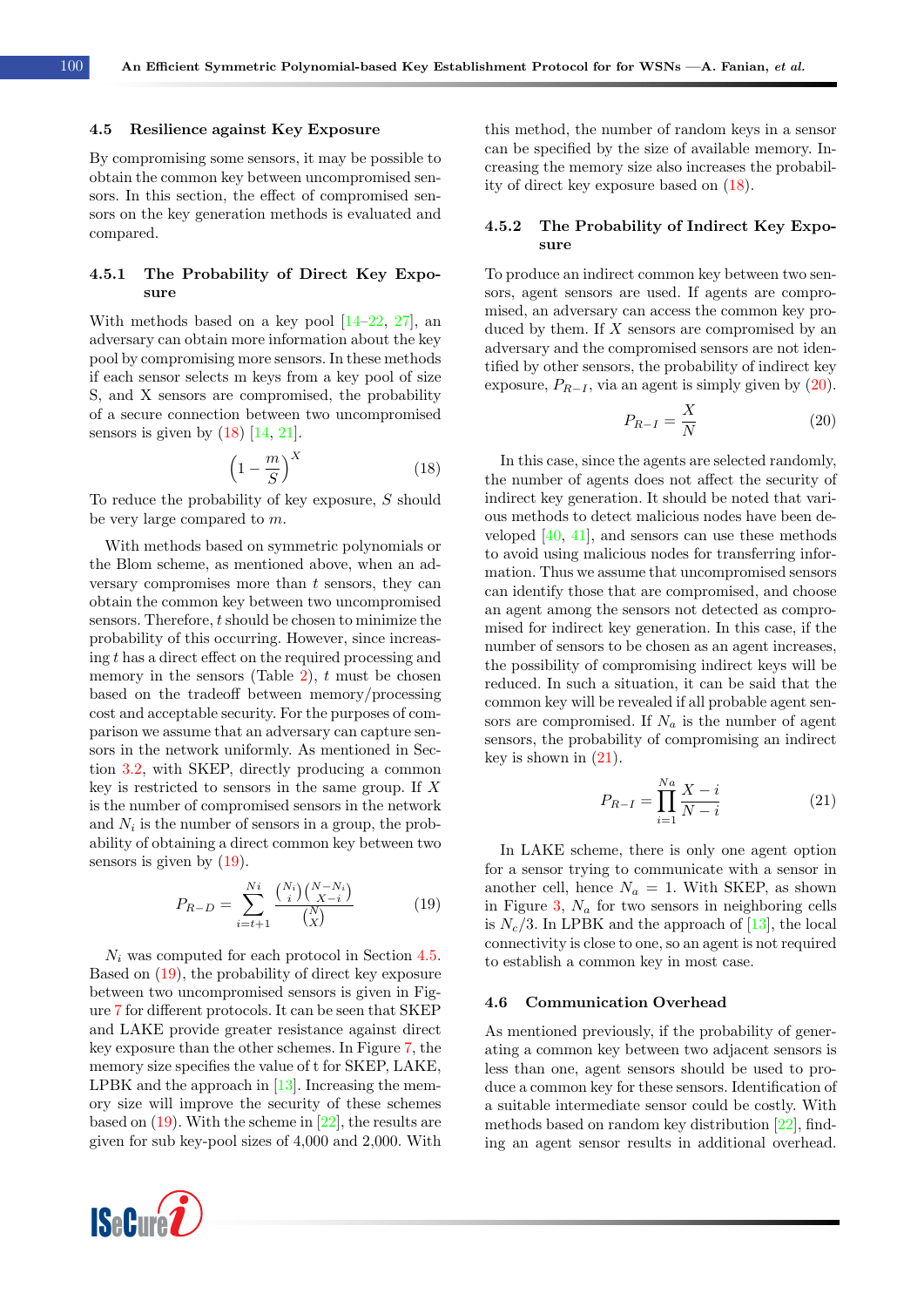#### <span id="page-11-2"></span>4.5 Resilience against Key Exposure

By compromising some sensors, it may be possible to obtain the common key between uncompromised sensors. In this section, the effect of compromised sensors on the key generation methods is evaluated and compared.

#### 4.5.1 The Probability of Direct Key Exposure

With methods based on a key pool  $[14–22, 27]$  $[14–22, 27]$  $[14–22, 27]$  $[14–22, 27]$ , an adversary can obtain more information about the key pool by compromising more sensors. In these methods if each sensor selects m keys from a key pool of size S, and X sensors are compromised, the probability of a secure connection between two uncompromised sensors is given by  $(18)$  [\[14,](#page-14-9) [21\]](#page-15-10).

<span id="page-11-0"></span>
$$
\left(1 - \frac{m}{S}\right)^X \tag{18}
$$

To reduce the probability of key exposure,  $S$  should be very large compared to m.

With methods based on symmetric polynomials or the Blom scheme, as mentioned above, when an adversary compromises more than  $t$  sensors, they can obtain the common key between two uncompromised sensors. Therefore, t should be chosen to minimize the probability of this occurring. However, since increasing t has a direct effect on the required processing and memory in the sensors (Table [2\)](#page-10-3),  $t$  must be chosen based on the tradeoff between memory/processing cost and acceptable security. For the purposes of comparison we assume that an adversary can capture sensors in the network uniformly. As mentioned in Section [3.2,](#page-3-5) with SKEP, directly producing a common key is restricted to sensors in the same group. If  $X$ is the number of compromised sensors in the network and  $N_i$  is the number of sensors in a group, the probability of obtaining a direct common key between two sensors is given by  $(19)$ .

<span id="page-11-1"></span>
$$
P_{R-D} = \sum_{i=t+1}^{Ni} \frac{\binom{N_i}{i} \binom{N-N_i}{X-i}}{\binom{N}{X}}
$$
(19)

 $N_i$  was computed for each protocol in Section [4.5.](#page-11-2) Based on [\(19\)](#page-11-1), the probability of direct key exposure between two uncompromised sensors is given in Figure [7](#page-12-0) for different protocols. It can be seen that SKEP and LAKE provide greater resistance against direct key exposure than the other schemes. In Figure [7,](#page-12-0) the memory size specifies the value of t for SKEP, LAKE, LPBK and the approach in  $[13]$ . Increasing the memory size will improve the security of these schemes based on  $(19)$ . With the scheme in  $[22]$ , the results are given for sub key-pool sizes of 4,000 and 2,000. With



this method, the number of random keys in a sensor can be specified by the size of available memory. Increasing the memory size also increases the probability of direct key exposure based on [\(18\)](#page-11-0).

#### 4.5.2 The Probability of Indirect Key Exposure

To produce an indirect common key between two sensors, agent sensors are used. If agents are compromised, an adversary can access the common key produced by them. If  $X$  sensors are compromised by an adversary and the compromised sensors are not identified by other sensors, the probability of indirect key exposure,  $P_{R-I}$ , via an agent is simply given by [\(20\)](#page-11-3).

<span id="page-11-3"></span>
$$
P_{R-I} = \frac{X}{N} \tag{20}
$$

In this case, since the agents are selected randomly, the number of agents does not affect the security of indirect key generation. It should be noted that various methods to detect malicious nodes have been developed [\[40,](#page-16-0) [41\]](#page-16-1), and sensors can use these methods to avoid using malicious nodes for transferring information. Thus we assume that uncompromised sensors can identify those that are compromised, and choose an agent among the sensors not detected as compromised for indirect key generation. In this case, if the number of sensors to be chosen as an agent increases, the possibility of compromising indirect keys will be reduced. In such a situation, it can be said that the common key will be revealed if all probable agent sensors are compromised. If  $N_a$  is the number of agent sensors, the probability of compromising an indirect key is shown in  $(21)$ .

<span id="page-11-4"></span>
$$
P_{R-I} = \prod_{i=1}^{Na} \frac{X - i}{N - i}
$$
 (21)

In LAKE scheme, there is only one agent option for a sensor trying to communicate with a sensor in another cell, hence  $N_a = 1$ . With SKEP, as shown in Figure [3,](#page-5-1)  $N_a$  for two sensors in neighboring cells is  $N_c/3$ . In LPBK and the approach of [\[13\]](#page-14-6), the local connectivity is close to one, so an agent is not required to establish a common key in most case.

#### 4.6 Communication Overhead

As mentioned previously, if the probability of generating a common key between two adjacent sensors is less than one, agent sensors should be used to produce a common key for these sensors. Identification of a suitable intermediate sensor could be costly. With methods based on random key distribution [\[22\]](#page-15-5), finding an agent sensor results in additional overhead.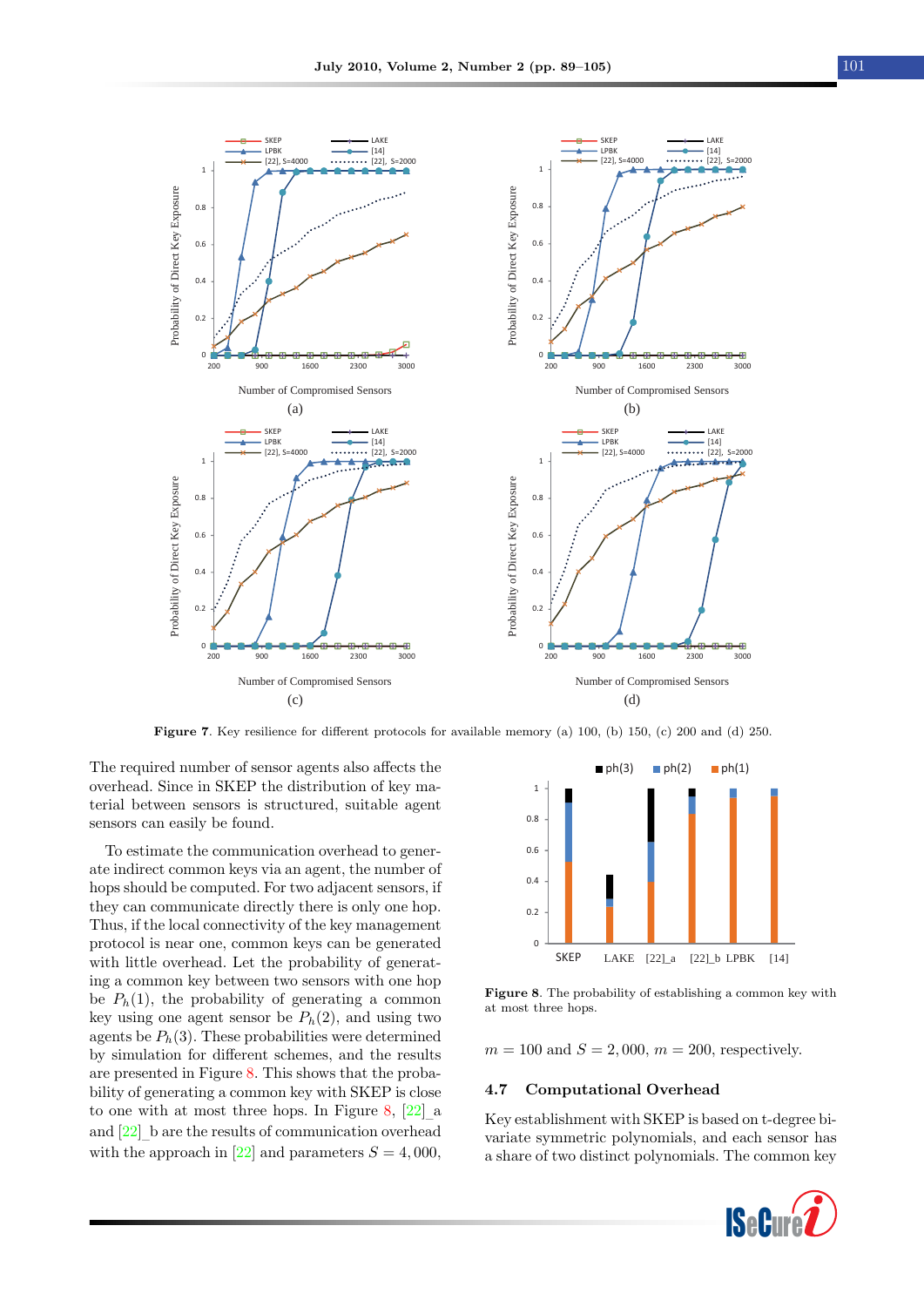<span id="page-12-0"></span>

Figure 7. Key resilience for different protocols for available memory (a) 100, (b) 150, (c) 200 and (d) 250.

The required number of sensor agents also affects the overhead. Since in SKEP the distribution of key material between sensors is structured, suitable agent sensors can easily be found.

To estimate the communication overhead to generate indirect common keys via an agent, the number of hops should be computed. For two adjacent sensors, if they can communicate directly there is only one hop. Thus, if the local connectivity of the key management protocol is near one, common keys can be generated with little overhead. Let the probability of generating a common key between two sensors with one hop be  $P_h(1)$ , the probability of generating a common key using one agent sensor be  $P_h(2)$ , and using two agents be  $P_h(3)$ . These probabilities were determined by simulation for different schemes, and the results are presented in Figure [8.](#page-12-1) This shows that the probability of generating a common key with SKEP is close to one with at most three hops. In Figure [8,](#page-12-1) [\[22\]](#page-15-5) – a and [\[22\]](#page-15-5) – b are the results of communication overhead with the approach in [\[22\]](#page-15-5) and parameters  $S = 4,000$ ,

<span id="page-12-1"></span>

Figure 8. The probability of establishing a common key with at most three hops.

 $m = 100$  and  $S = 2,000$ ,  $m = 200$ , respectively.

#### 4.7 Computational Overhead

Key establishment with SKEP is based on t-degree bivariate symmetric polynomials, and each sensor has a share of two distinct polynomials. The common key

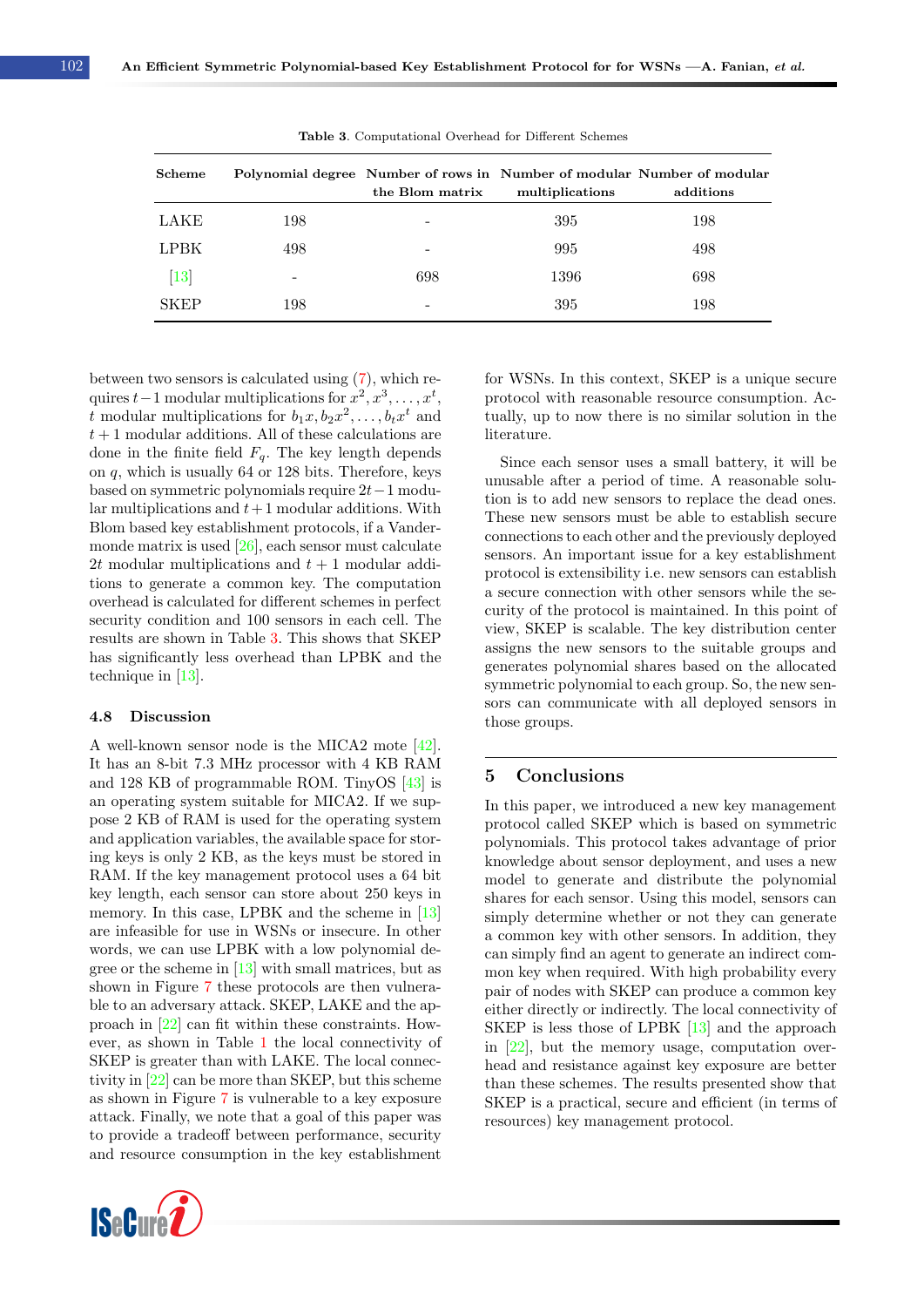<span id="page-13-0"></span>

| ${\bf Scheme}$ |     | the Blom matrix | Polynomial degree Number of rows in Number of modular Number of modular<br>multiplications | additions |
|----------------|-----|-----------------|--------------------------------------------------------------------------------------------|-----------|
| LAKE           | 198 |                 | 395                                                                                        | 198       |
| <b>LPBK</b>    | 498 |                 | 995                                                                                        | 498       |
| $[13]$         |     | 698             | 1396                                                                                       | 698       |
| <b>SKEP</b>    | 198 |                 | 395                                                                                        | 198       |

Table 3. Computational Overhead for Different Schemes

between two sensors is calculated using [\(7\)](#page-4-3), which requires  $t-1$  modular multiplications for  $x^2, x^3, \ldots, x^t$ , t modular multiplications for  $b_1x, b_2x^2, \ldots, b_tx^t$  and  $t+1$  modular additions. All of these calculations are done in the finite field  $F_q$ . The key length depends on q, which is usually 64 or 128 bits. Therefore, keys based on symmetric polynomials require 2t−1 modular multiplications and  $t+1$  modular additions. With Blom based key establishment protocols, if a Vandermonde matrix is used [\[26\]](#page-15-13), each sensor must calculate 2t modular multiplications and  $t + 1$  modular additions to generate a common key. The computation overhead is calculated for different schemes in perfect security condition and 100 sensors in each cell. The results are shown in Table [3.](#page-13-0) This shows that SKEP has significantly less overhead than LPBK and the technique in [\[13\]](#page-14-6).

#### 4.8 Discussion

A well-known sensor node is the MICA2 mote [\[42\]](#page-16-2). It has an 8-bit 7.3 MHz processor with 4 KB RAM and 128 KB of programmable ROM. TinyOS [\[43\]](#page-16-3) is an operating system suitable for MICA2. If we suppose 2 KB of RAM is used for the operating system and application variables, the available space for storing keys is only 2 KB, as the keys must be stored in RAM. If the key management protocol uses a 64 bit key length, each sensor can store about 250 keys in memory. In this case, LPBK and the scheme in [\[13\]](#page-14-6) are infeasible for use in WSNs or insecure. In other words, we can use LPBK with a low polynomial degree or the scheme in  $[13]$  with small matrices, but as shown in Figure [7](#page-12-0) these protocols are then vulnerable to an adversary attack. SKEP, LAKE and the approach in [\[22\]](#page-15-5) can fit within these constraints. However, as shown in Table [1](#page-8-3) the local connectivity of SKEP is greater than with LAKE. The local connectivity in [\[22\]](#page-15-5) can be more than SKEP, but this scheme as shown in Figure [7](#page-12-0) is vulnerable to a key exposure attack. Finally, we note that a goal of this paper was to provide a tradeoff between performance, security and resource consumption in the key establishment



for WSNs. In this context, SKEP is a unique secure protocol with reasonable resource consumption. Actually, up to now there is no similar solution in the literature.

Since each sensor uses a small battery, it will be unusable after a period of time. A reasonable solution is to add new sensors to replace the dead ones. These new sensors must be able to establish secure connections to each other and the previously deployed sensors. An important issue for a key establishment protocol is extensibility i.e. new sensors can establish a secure connection with other sensors while the security of the protocol is maintained. In this point of view, SKEP is scalable. The key distribution center assigns the new sensors to the suitable groups and generates polynomial shares based on the allocated symmetric polynomial to each group. So, the new sensors can communicate with all deployed sensors in those groups.

# 5 Conclusions

In this paper, we introduced a new key management protocol called SKEP which is based on symmetric polynomials. This protocol takes advantage of prior knowledge about sensor deployment, and uses a new model to generate and distribute the polynomial shares for each sensor. Using this model, sensors can simply determine whether or not they can generate a common key with other sensors. In addition, they can simply find an agent to generate an indirect common key when required. With high probability every pair of nodes with SKEP can produce a common key either directly or indirectly. The local connectivity of SKEP is less those of LPBK [\[13\]](#page-14-6) and the approach in [\[22\]](#page-15-5), but the memory usage, computation overhead and resistance against key exposure are better than these schemes. The results presented show that SKEP is a practical, secure and efficient (in terms of resources) key management protocol.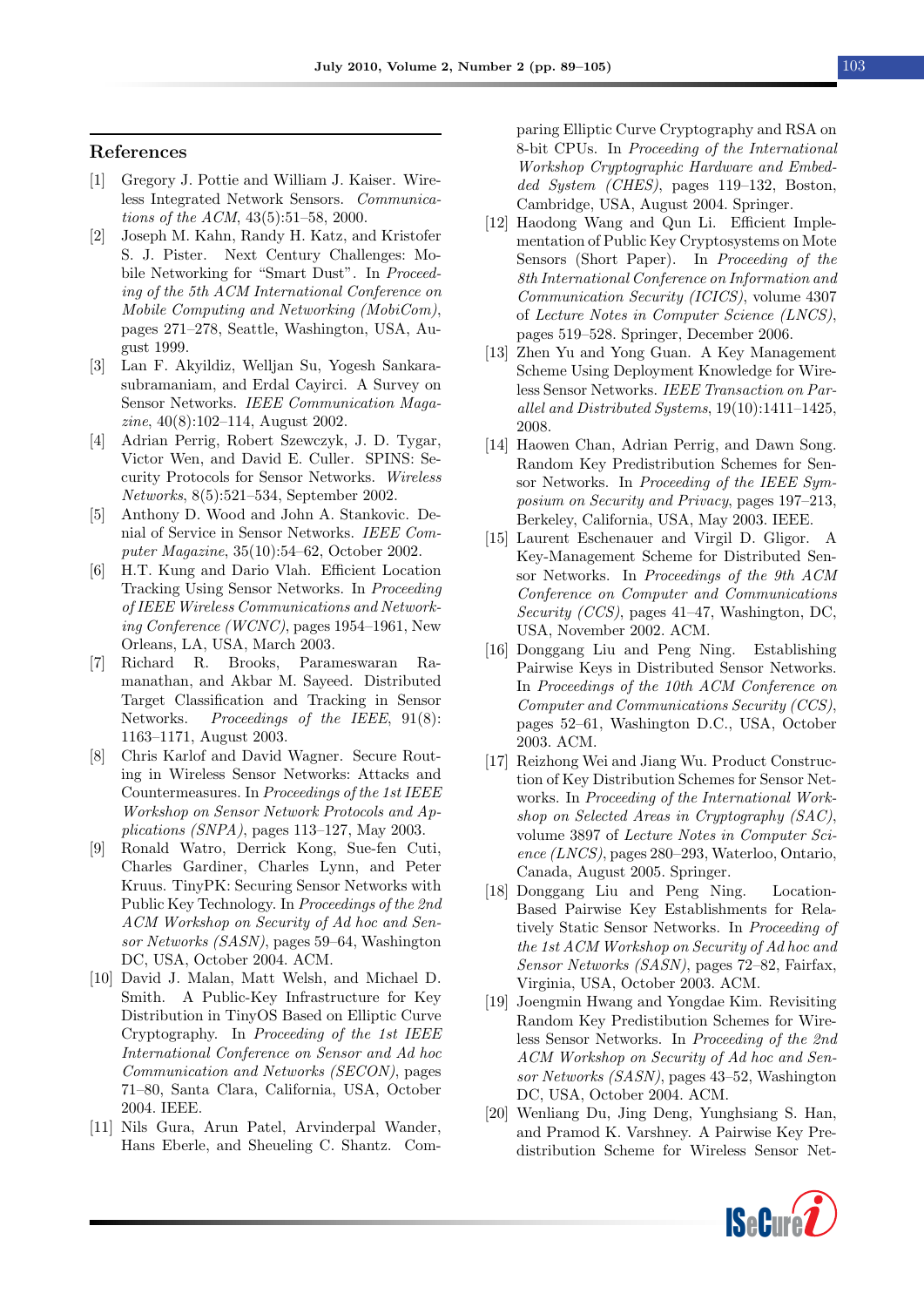#### References

- <span id="page-14-0"></span>[1] Gregory J. Pottie and William J. Kaiser. Wireless Integrated Network Sensors. Communications of the ACM, 43(5):51–58, 2000.
- [2] Joseph M. Kahn, Randy H. Katz, and Kristofer S. J. Pister. Next Century Challenges: Mobile Networking for "Smart Dust". In Proceeding of the 5th ACM International Conference on Mobile Computing and Networking (MobiCom), pages 271–278, Seattle, Washington, USA, August 1999.
- <span id="page-14-1"></span>[3] Lan F. Akyildiz, Welljan Su, Yogesh Sankarasubramaniam, and Erdal Cayirci. A Survey on Sensor Networks. IEEE Communication Magazine, 40(8):102–114, August 2002.
- <span id="page-14-2"></span>[4] Adrian Perrig, Robert Szewczyk, J. D. Tygar, Victor Wen, and David E. Culler. SPINS: Security Protocols for Sensor Networks. Wireless Networks, 8(5):521–534, September 2002.
- [5] Anthony D. Wood and John A. Stankovic. Denial of Service in Sensor Networks. IEEE Computer Magazine, 35(10):54–62, October 2002.
- [6] H.T. Kung and Dario Vlah. Efficient Location Tracking Using Sensor Networks. In Proceeding of IEEE Wireless Communications and Networking Conference (WCNC), pages 1954–1961, New Orleans, LA, USA, March 2003.
- <span id="page-14-7"></span>[7] Richard R. Brooks, Parameswaran Ramanathan, and Akbar M. Sayeed. Distributed Target Classification and Tracking in Sensor Networks. Proceedings of the IEEE, 91(8): 1163–1171, August 2003.
- [8] Chris Karlof and David Wagner. Secure Routing in Wireless Sensor Networks: Attacks and Countermeasures. In Proceedings of the 1st IEEE Workshop on Sensor Network Protocols and Applications (SNPA), pages 113–127, May 2003.
- [9] Ronald Watro, Derrick Kong, Sue-fen Cuti, Charles Gardiner, Charles Lynn, and Peter Kruus. TinyPK: Securing Sensor Networks with Public Key Technology. In Proceedings of the 2nd ACM Workshop on Security of Ad hoc and Sensor Networks (SASN), pages 59–64, Washington DC, USA, October 2004. ACM.
- <span id="page-14-3"></span>[10] David J. Malan, Matt Welsh, and Michael D. Smith. A Public-Key Infrastructure for Key Distribution in TinyOS Based on Elliptic Curve Cryptography. In Proceeding of the 1st IEEE International Conference on Sensor and Ad hoc Communication and Networks (SECON), pages 71–80, Santa Clara, California, USA, October 2004. IEEE.
- <span id="page-14-4"></span>[11] Nils Gura, Arun Patel, Arvinderpal Wander, Hans Eberle, and Sheueling C. Shantz. Com-

paring Elliptic Curve Cryptography and RSA on 8-bit CPUs. In Proceeding of the International Workshop Cryptographic Hardware and Embedded System (CHES), pages 119–132, Boston, Cambridge, USA, August 2004. Springer.

- <span id="page-14-5"></span>[12] Haodong Wang and Qun Li. Efficient Implementation of Public Key Cryptosystems on Mote Sensors (Short Paper). In Proceeding of the 8th International Conference on Information and Communication Security (ICICS), volume 4307 of Lecture Notes in Computer Science (LNCS), pages 519–528. Springer, December 2006.
- <span id="page-14-6"></span>[13] Zhen Yu and Yong Guan. A Key Management Scheme Using Deployment Knowledge for Wireless Sensor Networks. IEEE Transaction on Parallel and Distributed Systems, 19(10):1411–1425, 2008.
- <span id="page-14-9"></span>[14] Haowen Chan, Adrian Perrig, and Dawn Song. Random Key Predistribution Schemes for Sensor Networks. In Proceeding of the IEEE Symposium on Security and Privacy, pages 197–213, Berkeley, California, USA, May 2003. IEEE.
- <span id="page-14-8"></span>[15] Laurent Eschenauer and Virgil D. Gligor. A Key-Management Scheme for Distributed Sensor Networks. In Proceedings of the 9th ACM Conference on Computer and Communications Security (CCS), pages 41–47, Washington, DC, USA, November 2002. ACM.
- <span id="page-14-10"></span>[16] Donggang Liu and Peng Ning. Establishing Pairwise Keys in Distributed Sensor Networks. In Proceedings of the 10th ACM Conference on Computer and Communications Security (CCS), pages 52–61, Washington D.C., USA, October 2003. ACM.
- [17] Reizhong Wei and Jiang Wu. Product Construction of Key Distribution Schemes for Sensor Networks. In Proceeding of the International Workshop on Selected Areas in Cryptography (SAC), volume 3897 of Lecture Notes in Computer Science (LNCS), pages 280–293, Waterloo, Ontario, Canada, August 2005. Springer.
- <span id="page-14-11"></span>[18] Donggang Liu and Peng Ning. Location-Based Pairwise Key Establishments for Relatively Static Sensor Networks. In Proceeding of the 1st ACM Workshop on Security of Ad hoc and Sensor Networks (SASN), pages 72–82, Fairfax, Virginia, USA, October 2003. ACM.
- <span id="page-14-12"></span>[19] Joengmin Hwang and Yongdae Kim. Revisiting Random Key Predistibution Schemes for Wireless Sensor Networks. In Proceeding of the 2nd ACM Workshop on Security of Ad hoc and Sensor Networks (SASN), pages 43–52, Washington DC, USA, October 2004. ACM.
- <span id="page-14-13"></span>[20] Wenliang Du, Jing Deng, Yunghsiang S. Han, and Pramod K. Varshney. A Pairwise Key Predistribution Scheme for Wireless Sensor Net-

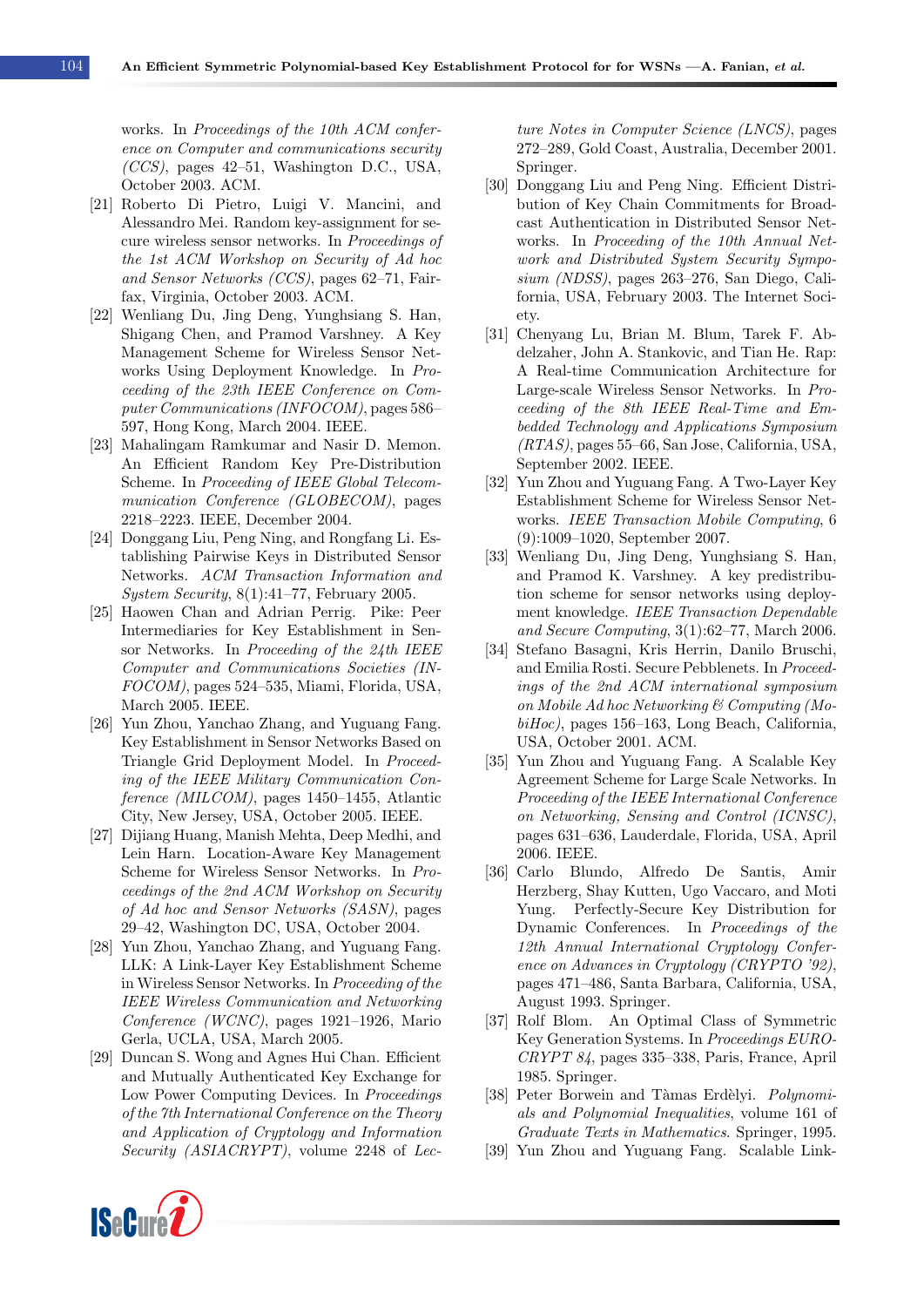works. In Proceedings of the 10th ACM conference on Computer and communications security (CCS), pages 42–51, Washington D.C., USA, October 2003. ACM.

- <span id="page-15-10"></span>[21] Roberto Di Pietro, Luigi V. Mancini, and Alessandro Mei. Random key-assignment for secure wireless sensor networks. In Proceedings of the 1st ACM Workshop on Security of Ad hoc and Sensor Networks (CCS), pages 62–71, Fairfax, Virginia, October 2003. ACM.
- <span id="page-15-5"></span>[22] Wenliang Du, Jing Deng, Yunghsiang S. Han, Shigang Chen, and Pramod Varshney. A Key Management Scheme for Wireless Sensor Networks Using Deployment Knowledge. In Proceeding of the 23th IEEE Conference on Computer Communications (INFOCOM), pages 586– 597, Hong Kong, March 2004. IEEE.
- [23] Mahalingam Ramkumar and Nasir D. Memon. An Efficient Random Key Pre-Distribution Scheme. In Proceeding of IEEE Global Telecommunication Conference (GLOBECOM), pages 2218–2223. IEEE, December 2004.
- <span id="page-15-3"></span>[24] Donggang Liu, Peng Ning, and Rongfang Li. Establishing Pairwise Keys in Distributed Sensor Networks. ACM Transaction Information and System Security, 8(1):41–77, February 2005.
- [25] Haowen Chan and Adrian Perrig. Pike: Peer Intermediaries for Key Establishment in Sensor Networks. In Proceeding of the 24th IEEE Computer and Communications Societies (IN-FOCOM), pages 524–535, Miami, Florida, USA, March 2005. IEEE.
- <span id="page-15-13"></span>[26] Yun Zhou, Yanchao Zhang, and Yuguang Fang. Key Establishment in Sensor Networks Based on Triangle Grid Deployment Model. In Proceeding of the IEEE Military Communication Conference (MILCOM), pages 1450–1455, Atlantic City, New Jersey, USA, October 2005. IEEE.
- <span id="page-15-11"></span>[27] Dijiang Huang, Manish Mehta, Deep Medhi, and Lein Harn. Location-Aware Key Management Scheme for Wireless Sensor Networks. In Proceedings of the 2nd ACM Workshop on Security of Ad hoc and Sensor Networks (SASN), pages 29–42, Washington DC, USA, October 2004.
- <span id="page-15-12"></span>[28] Yun Zhou, Yanchao Zhang, and Yuguang Fang. LLK: A Link-Layer Key Establishment Scheme in Wireless Sensor Networks. In Proceeding of the IEEE Wireless Communication and Networking Conference (WCNC), pages 1921–1926, Mario Gerla, UCLA, USA, March 2005.
- [29] Duncan S. Wong and Agnes Hui Chan. Efficient and Mutually Authenticated Key Exchange for Low Power Computing Devices. In Proceedings of the 7th International Conference on the Theory and Application of Cryptology and Information Security (ASIACRYPT), volume 2248 of Lec-

ture Notes in Computer Science (LNCS), pages 272–289, Gold Coast, Australia, December 2001. Springer.

- [30] Donggang Liu and Peng Ning. Efficient Distribution of Key Chain Commitments for Broadcast Authentication in Distributed Sensor Networks. In Proceeding of the 10th Annual Network and Distributed System Security Symposium (NDSS), pages 263–276, San Diego, California, USA, February 2003. The Internet Society.
- [31] Chenyang Lu, Brian M. Blum, Tarek F. Abdelzaher, John A. Stankovic, and Tian He. Rap: A Real-time Communication Architecture for Large-scale Wireless Sensor Networks. In Proceeding of the 8th IEEE Real-Time and Embedded Technology and Applications Symposium (RTAS), pages 55–66, San Jose, California, USA, September 2002. IEEE.
- <span id="page-15-6"></span>[32] Yun Zhou and Yuguang Fang. A Two-Layer Key Establishment Scheme for Wireless Sensor Networks. IEEE Transaction Mobile Computing, 6 (9):1009–1020, September 2007.
- <span id="page-15-0"></span>[33] Wenliang Du, Jing Deng, Yunghsiang S. Han, and Pramod K. Varshney. A key predistribution scheme for sensor networks using deployment knowledge. IEEE Transaction Dependable and Secure Computing, 3(1):62–77, March 2006.
- <span id="page-15-1"></span>[34] Stefano Basagni, Kris Herrin, Danilo Bruschi, and Emilia Rosti. Secure Pebblenets. In Proceedings of the 2nd ACM international symposium on Mobile Ad hoc Networking & Computing (MobiHoc), pages 156–163, Long Beach, California, USA, October 2001. ACM.
- <span id="page-15-2"></span>[35] Yun Zhou and Yuguang Fang. A Scalable Key Agreement Scheme for Large Scale Networks. In Proceeding of the IEEE International Conference on Networking, Sensing and Control (ICNSC), pages 631–636, Lauderdale, Florida, USA, April 2006. IEEE.
- <span id="page-15-4"></span>[36] Carlo Blundo, Alfredo De Santis, Amir Herzberg, Shay Kutten, Ugo Vaccaro, and Moti Yung. Perfectly-Secure Key Distribution for Dynamic Conferences. In Proceedings of the 12th Annual International Cryptology Conference on Advances in Cryptology (CRYPTO '92), pages 471–486, Santa Barbara, California, USA, August 1993. Springer.
- <span id="page-15-7"></span>[37] Rolf Blom. An Optimal Class of Symmetric Key Generation Systems. In Proceedings EURO-CRYPT 84, pages 335–338, Paris, France, April 1985. Springer.
- <span id="page-15-8"></span>[38] Peter Borwein and Tàmas Erdèlyi. Polynomials and Polynomial Inequalities, volume 161 of Graduate Texts in Mathematics. Springer, 1995.
- <span id="page-15-9"></span>[39] Yun Zhou and Yuguang Fang. Scalable Link-